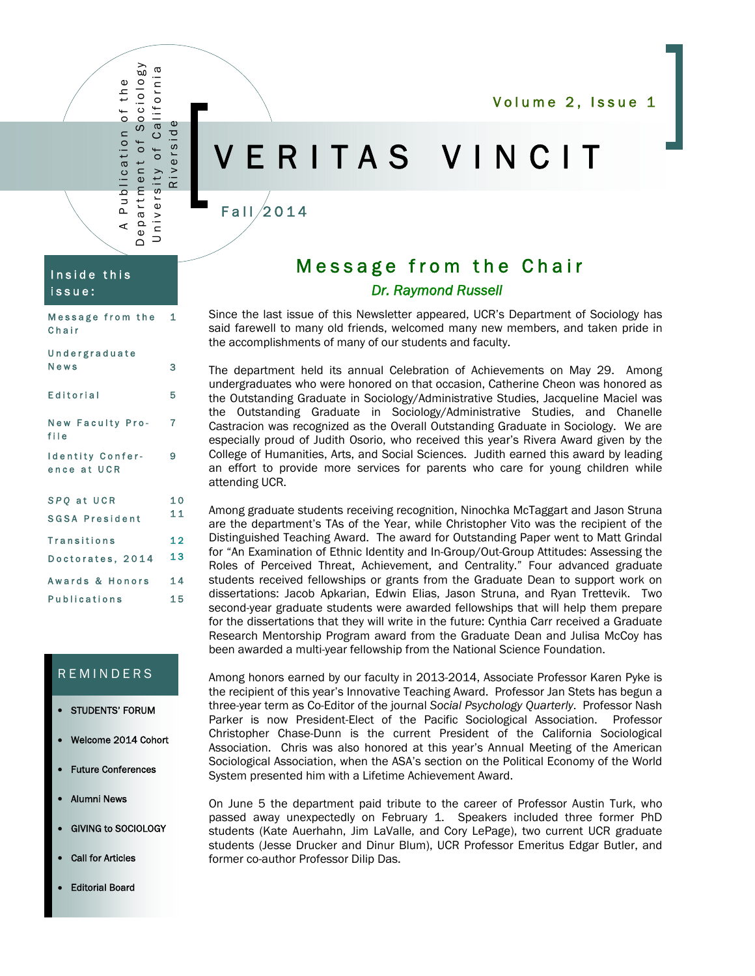Volume 2, Issue 1

## ERITAS VINCIT

## $F$ all $/2$ 014

### Inside this issue:

A Publication of the Department of Sociology University of California Riverside

∢

Publication of the

Department of Sociology University of California

Riversid

| Message from the 1<br>Chair            |    |
|----------------------------------------|----|
| Undergraduate<br>News                  |    |
|                                        | 3  |
| Editorial                              | 5  |
| <b>New Faculty Pro-</b><br>file        | 7  |
| <b>Identity Confer-</b><br>ence at UCR | 9  |
| SPQ at UCR                             | 10 |
| <b>SGSA President</b>                  | 11 |
| <b>Transitions</b>                     | 12 |
| Doctorates, 2014                       | 13 |
| Awards & Honors                        | 14 |
| <b>Publications</b>                    | 15 |

## **REMINDERS**

- STUDENTS' FORUM
- Welcome 2014 Cohort
- Future Conferences
- Alumni News
- GIVING to SOCIOLOGY
- Call for Articles
- Editorial Board

## Message from the Chair *Dr. Raymond Russell*

Since the last issue of this Newsletter appeared, UCR's Department of Sociology has said farewell to many old friends, welcomed many new members, and taken pride in the accomplishments of many of our students and faculty.

The department held its annual Celebration of Achievements on May 29. Among undergraduates who were honored on that occasion, Catherine Cheon was honored as the Outstanding Graduate in Sociology/Administrative Studies, Jacqueline Maciel was the Outstanding Graduate in Sociology/Administrative Studies, and Chanelle Castracion was recognized as the Overall Outstanding Graduate in Sociology. We are especially proud of Judith Osorio, who received this year's Rivera Award given by the College of Humanities, Arts, and Social Sciences. Judith earned this award by leading an effort to provide more services for parents who care for young children while attending UCR.

Among graduate students receiving recognition, Ninochka McTaggart and Jason Struna are the department's TAs of the Year, while Christopher Vito was the recipient of the Distinguished Teaching Award. The award for Outstanding Paper went to Matt Grindal for "An Examination of Ethnic Identity and In-Group/Out-Group Attitudes: Assessing the Roles of Perceived Threat, Achievement, and Centrality." Four advanced graduate students received fellowships or grants from the Graduate Dean to support work on dissertations: Jacob Apkarian, Edwin Elias, Jason Struna, and Ryan Trettevik. Two second-year graduate students were awarded fellowships that will help them prepare for the dissertations that they will write in the future: Cynthia Carr received a Graduate Research Mentorship Program award from the Graduate Dean and Julisa McCoy has been awarded a multi-year fellowship from the National Science Foundation.

Among honors earned by our faculty in 2013-2014, Associate Professor Karen Pyke is the recipient of this year's Innovative Teaching Award. Professor Jan Stets has begun a three-year term as Co-Editor of the journal *Social Psychology Quarterly*. Professor Nash Parker is now President-Elect of the Pacific Sociological Association. Professor Christopher Chase-Dunn is the current President of the California Sociological Association. Chris was also honored at this year's Annual Meeting of the American Sociological Association, when the ASA's section on the Political Economy of the World System presented him with a Lifetime Achievement Award.

On June 5 the department paid tribute to the career of Professor Austin Turk, who passed away unexpectedly on February 1. Speakers included three former PhD students (Kate Auerhahn, Jim LaValle, and Cory LePage), two current UCR graduate students (Jesse Drucker and Dinur Blum), UCR Professor Emeritus Edgar Butler, and former co-author Professor Dilip Das.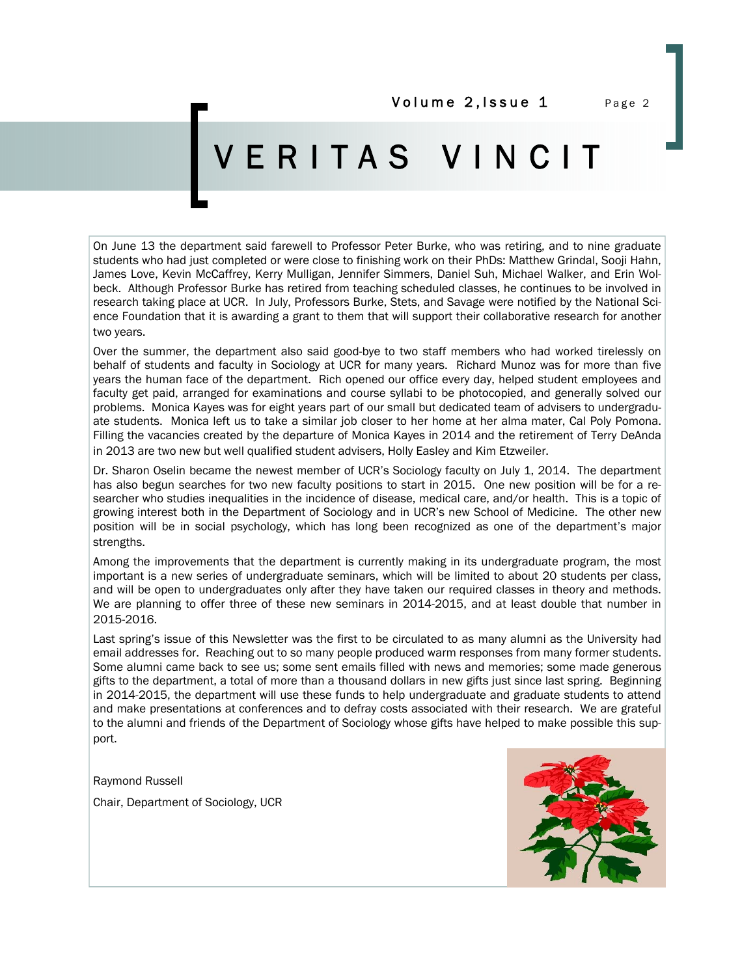Volume 2, Issue 1 Page 2

## ERITAS VINCIT

On June 13 the department said farewell to Professor Peter Burke, who was retiring, and to nine graduate students who had just completed or were close to finishing work on their PhDs: Matthew Grindal, Sooji Hahn, James Love, Kevin McCaffrey, Kerry Mulligan, Jennifer Simmers, Daniel Suh, Michael Walker, and Erin Wolbeck. Although Professor Burke has retired from teaching scheduled classes, he continues to be involved in research taking place at UCR. In July, Professors Burke, Stets, and Savage were notified by the National Science Foundation that it is awarding a grant to them that will support their collaborative research for another two years.

Over the summer, the department also said good-bye to two staff members who had worked tirelessly on behalf of students and faculty in Sociology at UCR for many years. Richard Munoz was for more than five years the human face of the department. Rich opened our office every day, helped student employees and faculty get paid, arranged for examinations and course syllabi to be photocopied, and generally solved our problems. Monica Kayes was for eight years part of our small but dedicated team of advisers to undergraduate students. Monica left us to take a similar job closer to her home at her alma mater, Cal Poly Pomona. Filling the vacancies created by the departure of Monica Kayes in 2014 and the retirement of Terry DeAnda in 2013 are two new but well qualified student advisers, Holly Easley and Kim Etzweiler.

Dr. Sharon Oselin became the newest member of UCR's Sociology faculty on July 1, 2014. The department has also begun searches for two new faculty positions to start in 2015. One new position will be for a researcher who studies inequalities in the incidence of disease, medical care, and/or health. This is a topic of growing interest both in the Department of Sociology and in UCR's new School of Medicine. The other new position will be in social psychology, which has long been recognized as one of the department's major strengths.

Among the improvements that the department is currently making in its undergraduate program, the most important is a new series of undergraduate seminars, which will be limited to about 20 students per class, and will be open to undergraduates only after they have taken our required classes in theory and methods. We are planning to offer three of these new seminars in 2014-2015, and at least double that number in 2015-2016.

Last spring's issue of this Newsletter was the first to be circulated to as many alumni as the University had email addresses for. Reaching out to so many people produced warm responses from many former students. Some alumni came back to see us; some sent emails filled with news and memories; some made generous gifts to the department, a total of more than a thousand dollars in new gifts just since last spring. Beginning in 2014-2015, the department will use these funds to help undergraduate and graduate students to attend and make presentations at conferences and to defray costs associated with their research. We are grateful to the alumni and friends of the Department of Sociology whose gifts have helped to make possible this support.

Raymond Russell

Chair, Department of Sociology, UCR

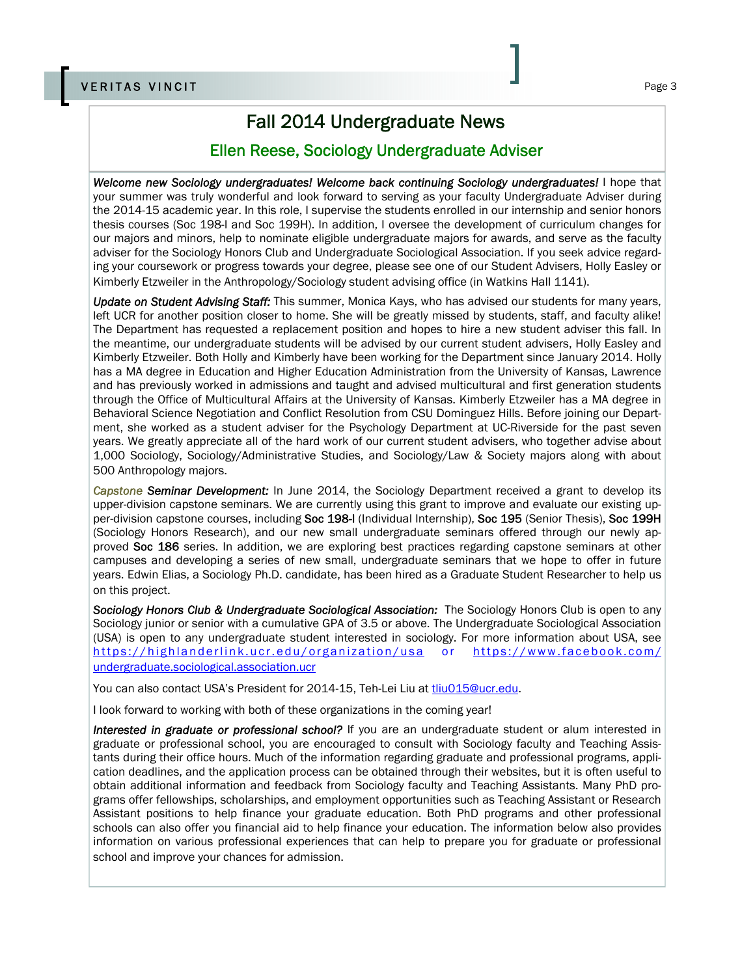## Fall 2014 Undergraduate News

### Ellen Reese, Sociology Undergraduate Adviser

*Welcome new Sociology undergraduates! Welcome back continuing Sociology undergraduates!* I hope that your summer was truly wonderful and look forward to serving as your faculty Undergraduate Adviser during the 2014-15 academic year. In this role, I supervise the students enrolled in our internship and senior honors thesis courses (Soc 198-I and Soc 199H). In addition, I oversee the development of curriculum changes for our majors and minors, help to nominate eligible undergraduate majors for awards, and serve as the faculty adviser for the Sociology Honors Club and Undergraduate Sociological Association. If you seek advice regarding your coursework or progress towards your degree, please see one of our Student Advisers, Holly Easley or Kimberly Etzweiler in the Anthropology/Sociology student advising office (in Watkins Hall 1141).

*Update on Student Advising Staff:* This summer, Monica Kays, who has advised our students for many years, left UCR for another position closer to home. She will be greatly missed by students, staff, and faculty alike! The Department has requested a replacement position and hopes to hire a new student adviser this fall. In the meantime, our undergraduate students will be advised by our current student advisers, Holly Easley and Kimberly Etzweiler. Both Holly and Kimberly have been working for the Department since January 2014. Holly has a MA degree in Education and Higher Education Administration from the University of Kansas, Lawrence and has previously worked in admissions and taught and advised multicultural and first generation students through the Office of Multicultural Affairs at the University of Kansas. Kimberly Etzweiler has a MA degree in Behavioral Science Negotiation and Conflict Resolution from CSU Dominguez Hills. Before joining our Department, she worked as a student adviser for the Psychology Department at UC-Riverside for the past seven years. We greatly appreciate all of the hard work of our current student advisers, who together advise about 1,000 Sociology, Sociology/Administrative Studies, and Sociology/Law & Society majors along with about 500 Anthropology majors.

*Capstone Seminar Development:* In June 2014, the Sociology Department received a grant to develop its upper-division capstone seminars. We are currently using this grant to improve and evaluate our existing upper-division capstone courses, including Soc 198-I (Individual Internship), Soc 195 (Senior Thesis), Soc 199H (Sociology Honors Research), and our new small undergraduate seminars offered through our newly approved Soc 186 series. In addition, we are exploring best practices regarding capstone seminars at other campuses and developing a series of new small, undergraduate seminars that we hope to offer in future years. Edwin Elias, a Sociology Ph.D. candidate, has been hired as a Graduate Student Researcher to help us on this project.

*Sociology Honors Club & Undergraduate Sociological Association:* The Sociology Honors Club is open to any Sociology junior or senior with a cumulative GPA of 3.5 or above. The Undergraduate Sociological Association (USA) is open to any undergraduate student interested in sociology. For more information about USA, see https://highlanderlink.ucr.edu/organization/usa or https://www.facebook.com/ undergraduate.sociological.association.ucr

You can also contact USA's President for 2014-15, Teh-Lei Liu at tliu015@ucr.edu.

I look forward to working with both of these organizations in the coming year!

*Interested in graduate or professional school?* If you are an undergraduate student or alum interested in graduate or professional school, you are encouraged to consult with Sociology faculty and Teaching Assistants during their office hours. Much of the information regarding graduate and professional programs, application deadlines, and the application process can be obtained through their websites, but it is often useful to obtain additional information and feedback from Sociology faculty and Teaching Assistants. Many PhD programs offer fellowships, scholarships, and employment opportunities such as Teaching Assistant or Research Assistant positions to help finance your graduate education. Both PhD programs and other professional schools can also offer you financial aid to help finance your education. The information below also provides information on various professional experiences that can help to prepare you for graduate or professional school and improve your chances for admission.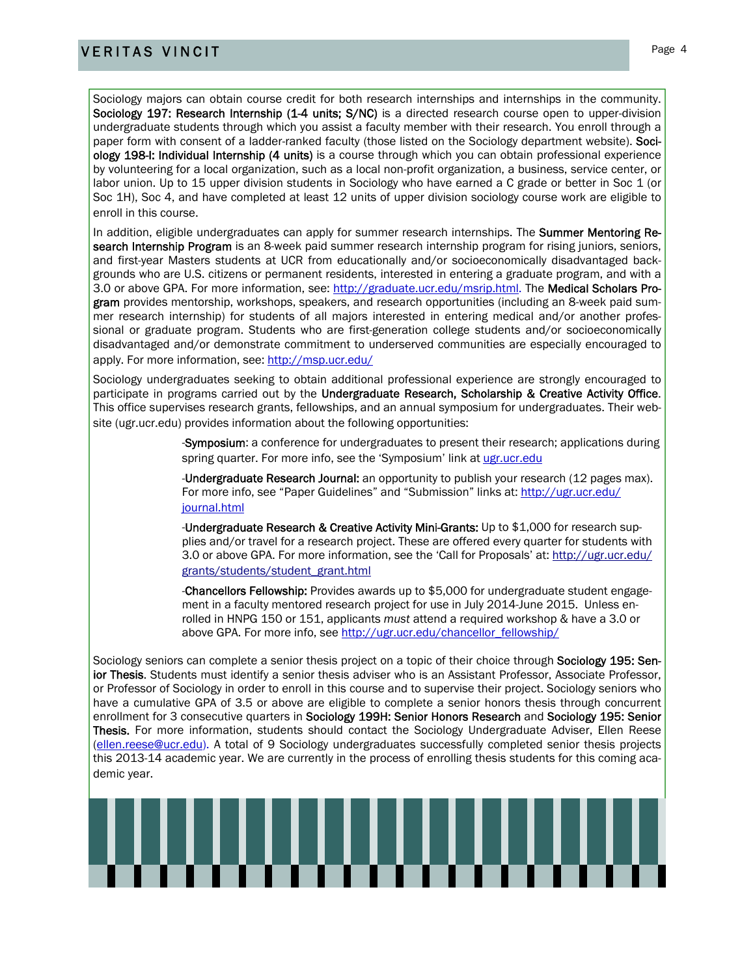## **VERITAS VINCIT** Page 4

Sociology majors can obtain course credit for both research internships and internships in the community. Sociology 197: Research Internship (1-4 units; S/NC) is a directed research course open to upper-division undergraduate students through which you assist a faculty member with their research. You enroll through a paper form with consent of a ladder-ranked faculty (those listed on the Sociology department website). Sociology 198-I: Individual Internship (4 units) is a course through which you can obtain professional experience by volunteering for a local organization, such as a local non-profit organization, a business, service center, or labor union. Up to 15 upper division students in Sociology who have earned a C grade or better in Soc 1 (or Soc 1H), Soc 4, and have completed at least 12 units of upper division sociology course work are eligible to enroll in this course.

In addition, eligible undergraduates can apply for summer research internships. The Summer Mentoring Research Internship Program is an 8-week paid summer research internship program for rising juniors, seniors, and first-year Masters students at UCR from educationally and/or socioeconomically disadvantaged backgrounds who are U.S. citizens or permanent residents, interested in entering a graduate program, and with a 3.0 or above GPA. For more information, see: http://graduate.ucr.edu/msrip.html. The Medical Scholars Program provides mentorship, workshops, speakers, and research opportunities (including an 8-week paid summer research internship) for students of all majors interested in entering medical and/or another professional or graduate program. Students who are first-generation college students and/or socioeconomically disadvantaged and/or demonstrate commitment to underserved communities are especially encouraged to apply. For more information, see: http://msp.ucr.edu/

Sociology undergraduates seeking to obtain additional professional experience are strongly encouraged to participate in programs carried out by the Undergraduate Research, Scholarship & Creative Activity Office. This office supervises research grants, fellowships, and an annual symposium for undergraduates. Their website (ugr.ucr.edu) provides information about the following opportunities:

> -Symposium: a conference for undergraduates to present their research; applications during spring quarter. For more info, see the 'Symposium' link at ugr.ucr.edu

-**Undergraduate Research Journal:** an opportunity to publish your research (12 pages max). For more info, see "Paper Guidelines" and "Submission" links at: http://ugr.ucr.edu/ journal.html

-Undergraduate Research & Creative Activity Mini-Grants: Up to \$1,000 for research supplies and/or travel for a research project. These are offered every quarter for students with 3.0 or above GPA. For more information, see the 'Call for Proposals' at: http://ugr.ucr.edu/ grants/students/student\_grant.html

-Chancellors Fellowship: Provides awards up to \$5,000 for undergraduate student engagement in a faculty mentored research project for use in July 2014-June 2015. Unless enrolled in HNPG 150 or 151, applicants *must* attend a required workshop & have a 3.0 or above GPA. For more info, see http://ugr.ucr.edu/chancellor\_fellowship/

Sociology seniors can complete a senior thesis project on a topic of their choice through **Sociology 195: Sen**ior Thesis. Students must identify a senior thesis adviser who is an Assistant Professor, Associate Professor, or Professor of Sociology in order to enroll in this course and to supervise their project. Sociology seniors who have a cumulative GPA of 3.5 or above are eligible to complete a senior honors thesis through concurrent enrollment for 3 consecutive quarters in Sociology 199H: Senior Honors Research and Sociology 195: Senior Thesis. For more information, students should contact the Sociology Undergraduate Adviser, Ellen Reese (ellen.reese@ucr.edu). A total of 9 Sociology undergraduates successfully completed senior thesis projects this 2013-14 academic year. We are currently in the process of enrolling thesis students for this coming academic year.

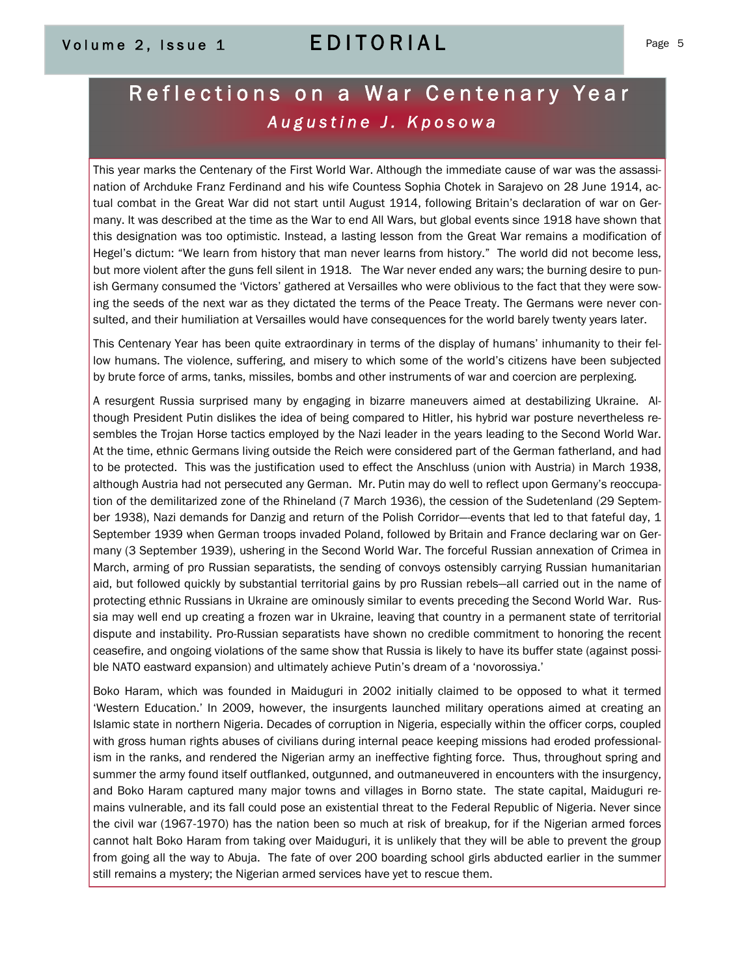## Volume 2, Issue 1 CDITORIAL Page 5

## Reflections on a War Centenary Year  *Augustine J. Kposowa*

This year marks the Centenary of the First World War. Although the immediate cause of war was the assassination of Archduke Franz Ferdinand and his wife Countess Sophia Chotek in Sarajevo on 28 June 1914, actual combat in the Great War did not start until August 1914, following Britain's declaration of war on Germany. It was described at the time as the War to end All Wars, but global events since 1918 have shown that this designation was too optimistic. Instead, a lasting lesson from the Great War remains a modification of Hegel's dictum: "We learn from history that man never learns from history." The world did not become less, but more violent after the guns fell silent in 1918. The War never ended any wars; the burning desire to punish Germany consumed the 'Victors' gathered at Versailles who were oblivious to the fact that they were sowing the seeds of the next war as they dictated the terms of the Peace Treaty. The Germans were never consulted, and their humiliation at Versailles would have consequences for the world barely twenty years later.

This Centenary Year has been quite extraordinary in terms of the display of humans' inhumanity to their fellow humans. The violence, suffering, and misery to which some of the world's citizens have been subjected by brute force of arms, tanks, missiles, bombs and other instruments of war and coercion are perplexing.

A resurgent Russia surprised many by engaging in bizarre maneuvers aimed at destabilizing Ukraine. Although President Putin dislikes the idea of being compared to Hitler, his hybrid war posture nevertheless resembles the Trojan Horse tactics employed by the Nazi leader in the years leading to the Second World War. At the time, ethnic Germans living outside the Reich were considered part of the German fatherland, and had to be protected. This was the justification used to effect the Anschluss (union with Austria) in March 1938, although Austria had not persecuted any German. Mr. Putin may do well to reflect upon Germany's reoccupation of the demilitarized zone of the Rhineland (7 March 1936), the cession of the Sudetenland (29 September 1938), Nazi demands for Danzig and return of the Polish Corridor—events that led to that fateful day, 1 September 1939 when German troops invaded Poland, followed by Britain and France declaring war on Germany (3 September 1939), ushering in the Second World War. The forceful Russian annexation of Crimea in March, arming of pro Russian separatists, the sending of convoys ostensibly carrying Russian humanitarian aid, but followed quickly by substantial territorial gains by pro Russian rebels—all carried out in the name of protecting ethnic Russians in Ukraine are ominously similar to events preceding the Second World War. Russia may well end up creating a frozen war in Ukraine, leaving that country in a permanent state of territorial dispute and instability. Pro-Russian separatists have shown no credible commitment to honoring the recent ceasefire, and ongoing violations of the same show that Russia is likely to have its buffer state (against possible NATO eastward expansion) and ultimately achieve Putin's dream of a 'novorossiya.'

Boko Haram, which was founded in Maiduguri in 2002 initially claimed to be opposed to what it termed 'Western Education.' In 2009, however, the insurgents launched military operations aimed at creating an Islamic state in northern Nigeria. Decades of corruption in Nigeria, especially within the officer corps, coupled with gross human rights abuses of civilians during internal peace keeping missions had eroded professionalism in the ranks, and rendered the Nigerian army an ineffective fighting force. Thus, throughout spring and summer the army found itself outflanked, outgunned, and outmaneuvered in encounters with the insurgency, and Boko Haram captured many major towns and villages in Borno state. The state capital, Maiduguri remains vulnerable, and its fall could pose an existential threat to the Federal Republic of Nigeria. Never since the civil war (1967-1970) has the nation been so much at risk of breakup, for if the Nigerian armed forces cannot halt Boko Haram from taking over Maiduguri, it is unlikely that they will be able to prevent the group from going all the way to Abuja. The fate of over 200 boarding school girls abducted earlier in the summer still remains a mystery; the Nigerian armed services have yet to rescue them.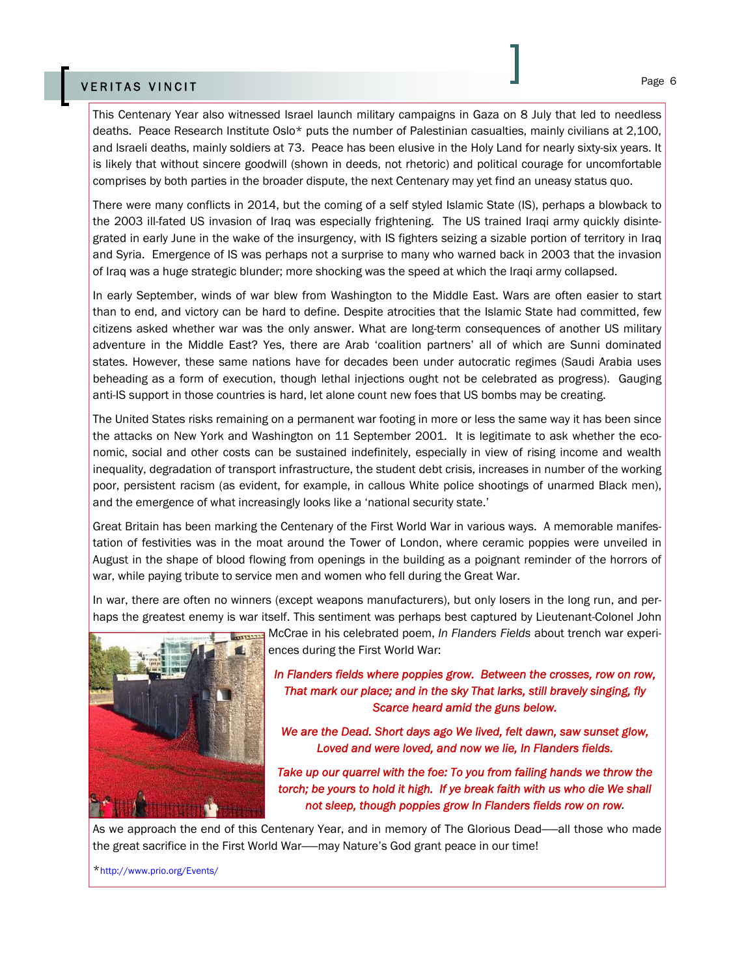## Page 6 VERITAS VINCIT

This Centenary Year also witnessed Israel launch military campaigns in Gaza on 8 July that led to needless deaths. Peace Research Institute Oslo\* puts the number of Palestinian casualties, mainly civilians at 2,100, and Israeli deaths, mainly soldiers at 73. Peace has been elusive in the Holy Land for nearly sixty-six years. It is likely that without sincere goodwill (shown in deeds, not rhetoric) and political courage for uncomfortable comprises by both parties in the broader dispute, the next Centenary may yet find an uneasy status quo.

There were many conflicts in 2014, but the coming of a self styled Islamic State (IS), perhaps a blowback to the 2003 ill-fated US invasion of Iraq was especially frightening. The US trained Iraqi army quickly disintegrated in early June in the wake of the insurgency, with IS fighters seizing a sizable portion of territory in Iraq and Syria. Emergence of IS was perhaps not a surprise to many who warned back in 2003 that the invasion of Iraq was a huge strategic blunder; more shocking was the speed at which the Iraqi army collapsed.

In early September, winds of war blew from Washington to the Middle East. Wars are often easier to start than to end, and victory can be hard to define. Despite atrocities that the Islamic State had committed, few citizens asked whether war was the only answer. What are long-term consequences of another US military adventure in the Middle East? Yes, there are Arab 'coalition partners' all of which are Sunni dominated states. However, these same nations have for decades been under autocratic regimes (Saudi Arabia uses beheading as a form of execution, though lethal injections ought not be celebrated as progress). Gauging anti-IS support in those countries is hard, let alone count new foes that US bombs may be creating.

The United States risks remaining on a permanent war footing in more or less the same way it has been since the attacks on New York and Washington on 11 September 2001. It is legitimate to ask whether the economic, social and other costs can be sustained indefinitely, especially in view of rising income and wealth inequality, degradation of transport infrastructure, the student debt crisis, increases in number of the working poor, persistent racism (as evident, for example, in callous White police shootings of unarmed Black men), and the emergence of what increasingly looks like a 'national security state.'

Great Britain has been marking the Centenary of the First World War in various ways. A memorable manifestation of festivities was in the moat around the Tower of London, where ceramic poppies were unveiled in August in the shape of blood flowing from openings in the building as a poignant reminder of the horrors of war, while paying tribute to service men and women who fell during the Great War.

In war, there are often no winners (except weapons manufacturers), but only losers in the long run, and perhaps the greatest enemy is war itself. This sentiment was perhaps best captured by Lieutenant-Colonel John



McCrae in his celebrated poem, *In Flanders Fields* about trench war experiences during the First World War:

*In Flanders fields where poppies grow. Between the crosses, row on row, That mark our place; and in the sky That larks, still bravely singing, fly Scarce heard amid the guns below.* 

*We are the Dead. Short days ago We lived, felt dawn, saw sunset glow, Loved and were loved, and now we lie, In Flanders fields.* 

*Take up our quarrel with the foe: To you from failing hands we throw the torch; be yours to hold it high. If ye break faith with us who die We shall not sleep, though poppies grow In Flanders fields row on row.* 

As we approach the end of this Centenary Year, and in memory of The Glorious Dead——all those who made the great sacrifice in the First World War——may Nature's God grant peace in our time!

\*http://www.prio.org/Events/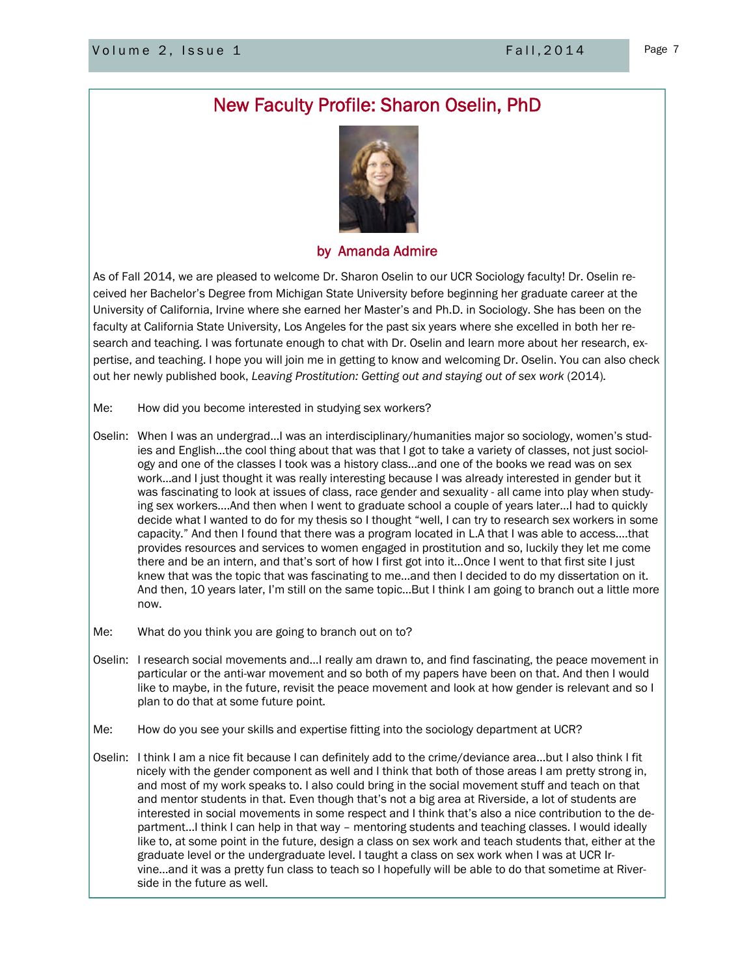## New Faculty Profile: Sharon Oselin, PhD



### by Amanda Admire

As of Fall 2014, we are pleased to welcome Dr. Sharon Oselin to our UCR Sociology faculty! Dr. Oselin received her Bachelor's Degree from Michigan State University before beginning her graduate career at the University of California, Irvine where she earned her Master's and Ph.D. in Sociology. She has been on the faculty at California State University, Los Angeles for the past six years where she excelled in both her research and teaching. I was fortunate enough to chat with Dr. Oselin and learn more about her research, expertise, and teaching. I hope you will join me in getting to know and welcoming Dr. Oselin. You can also check out her newly published book, *Leaving Prostitution: Getting out and staying out of sex work* (2014)*.* 

- Me: How did you become interested in studying sex workers?
- Oselin: When I was an undergrad…I was an interdisciplinary/humanities major so sociology, women's studies and English…the cool thing about that was that I got to take a variety of classes, not just sociology and one of the classes I took was a history class…and one of the books we read was on sex work…and I just thought it was really interesting because I was already interested in gender but it was fascinating to look at issues of class, race gender and sexuality - all came into play when studying sex workers….And then when I went to graduate school a couple of years later…I had to quickly decide what I wanted to do for my thesis so I thought "well, I can try to research sex workers in some capacity." And then I found that there was a program located in L.A that I was able to access….that provides resources and services to women engaged in prostitution and so, luckily they let me come there and be an intern, and that's sort of how I first got into it…Once I went to that first site I just knew that was the topic that was fascinating to me…and then I decided to do my dissertation on it. And then, 10 years later, I'm still on the same topic…But I think I am going to branch out a little more now.
- Me: What do you think you are going to branch out on to?
- Oselin: I research social movements and…I really am drawn to, and find fascinating, the peace movement in particular or the anti-war movement and so both of my papers have been on that. And then I would like to maybe, in the future, revisit the peace movement and look at how gender is relevant and so I plan to do that at some future point.
- Me: How do you see your skills and expertise fitting into the sociology department at UCR?
- Oselin: I think I am a nice fit because I can definitely add to the crime/deviance area…but I also think I fit nicely with the gender component as well and I think that both of those areas I am pretty strong in, and most of my work speaks to. I also could bring in the social movement stuff and teach on that and mentor students in that. Even though that's not a big area at Riverside, a lot of students are interested in social movements in some respect and I think that's also a nice contribution to the department…I think I can help in that way – mentoring students and teaching classes. I would ideally like to, at some point in the future, design a class on sex work and teach students that, either at the graduate level or the undergraduate level. I taught a class on sex work when I was at UCR Irvine...and it was a pretty fun class to teach so I hopefully will be able to do that sometime at Riverside in the future as well.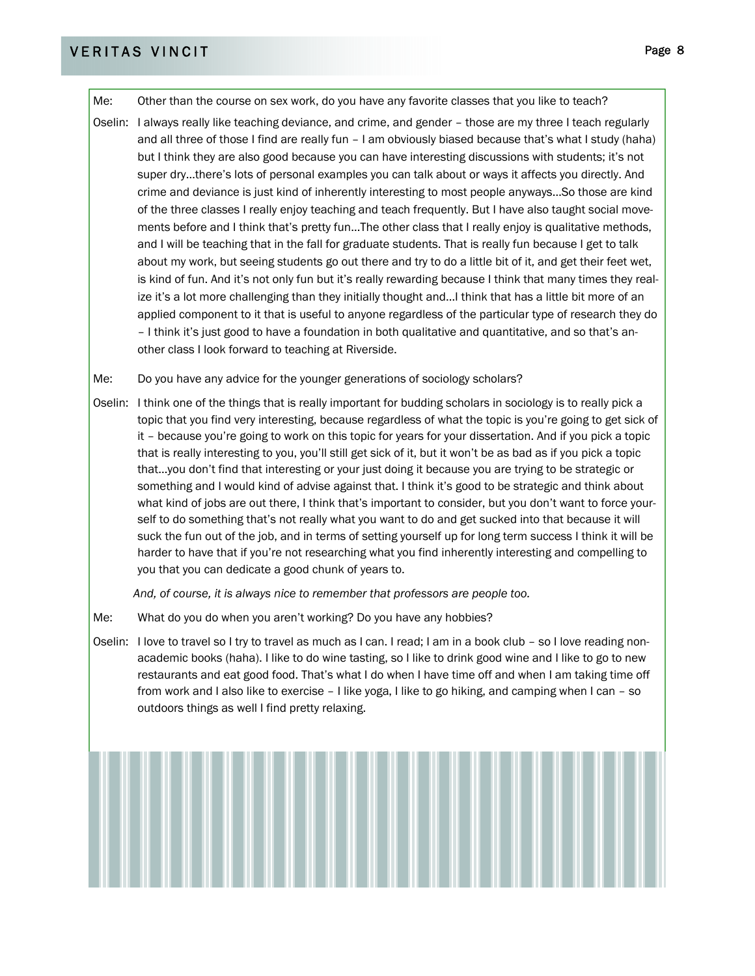## VERITAS VINCIT PAGE 2014 PAGE 2014 PAGE 2014 PAGE 2014 PAGE 2014 PAGE 2014 PAGE 2014

Me: Other than the course on sex work, do you have any favorite classes that you like to teach?

Oselin: I always really like teaching deviance, and crime, and gender – those are my three I teach regularly and all three of those I find are really fun – I am obviously biased because that's what I study (haha) but I think they are also good because you can have interesting discussions with students; it's not super dry…there's lots of personal examples you can talk about or ways it affects you directly. And crime and deviance is just kind of inherently interesting to most people anyways…So those are kind of the three classes I really enjoy teaching and teach frequently. But I have also taught social movements before and I think that's pretty fun…The other class that I really enjoy is qualitative methods, and I will be teaching that in the fall for graduate students. That is really fun because I get to talk about my work, but seeing students go out there and try to do a little bit of it, and get their feet wet, is kind of fun. And it's not only fun but it's really rewarding because I think that many times they realize it's a lot more challenging than they initially thought and…I think that has a little bit more of an applied component to it that is useful to anyone regardless of the particular type of research they do – I think it's just good to have a foundation in both qualitative and quantitative, and so that's another class I look forward to teaching at Riverside.

Me: Do you have any advice for the younger generations of sociology scholars?

Oselin: I think one of the things that is really important for budding scholars in sociology is to really pick a topic that you find very interesting, because regardless of what the topic is you're going to get sick of it – because you're going to work on this topic for years for your dissertation. And if you pick a topic that is really interesting to you, you'll still get sick of it, but it won't be as bad as if you pick a topic that…you don't find that interesting or your just doing it because you are trying to be strategic or something and I would kind of advise against that. I think it's good to be strategic and think about what kind of jobs are out there, I think that's important to consider, but you don't want to force yourself to do something that's not really what you want to do and get sucked into that because it will suck the fun out of the job, and in terms of setting yourself up for long term success I think it will be harder to have that if you're not researching what you find inherently interesting and compelling to you that you can dedicate a good chunk of years to.

*And, of course, it is always nice to remember that professors are people too.* 

- Me: What do you do when you aren't working? Do you have any hobbies?
- Oselin: I love to travel so I try to travel as much as I can. I read; I am in a book club so I love reading nonacademic books (haha). I like to do wine tasting, so I like to drink good wine and I like to go to new restaurants and eat good food. That's what I do when I have time off and when I am taking time off from work and I also like to exercise – I like yoga, I like to go hiking, and camping when I can – so outdoors things as well I find pretty relaxing.

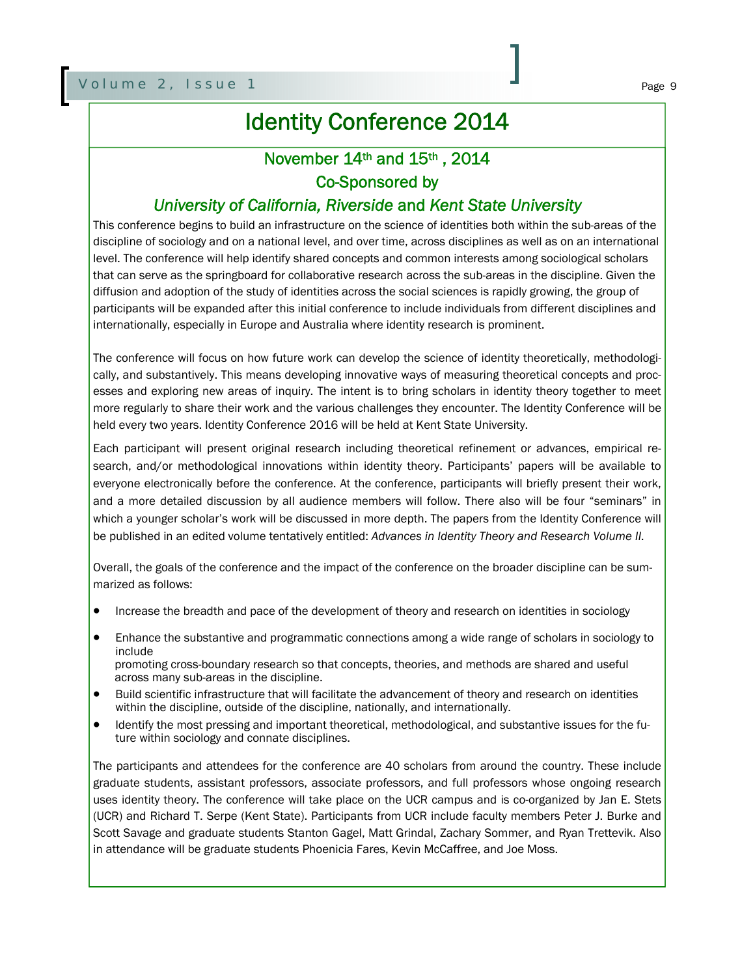## Identity Conference 2014

## November 14th and 15th , 2014

## Co-Sponsored by

## *University of California, Riverside* and *Kent State University*

This conference begins to build an infrastructure on the science of identities both within the sub-areas of the discipline of sociology and on a national level, and over time, across disciplines as well as on an international level. The conference will help identify shared concepts and common interests among sociological scholars that can serve as the springboard for collaborative research across the sub-areas in the discipline. Given the diffusion and adoption of the study of identities across the social sciences is rapidly growing, the group of participants will be expanded after this initial conference to include individuals from different disciplines and internationally, especially in Europe and Australia where identity research is prominent.

The conference will focus on how future work can develop the science of identity theoretically, methodologically, and substantively. This means developing innovative ways of measuring theoretical concepts and processes and exploring new areas of inquiry. The intent is to bring scholars in identity theory together to meet more regularly to share their work and the various challenges they encounter. The Identity Conference will be held every two years. Identity Conference 2016 will be held at Kent State University.

Each participant will present original research including theoretical refinement or advances, empirical research, and/or methodological innovations within identity theory. Participants' papers will be available to everyone electronically before the conference. At the conference, participants will briefly present their work, and a more detailed discussion by all audience members will follow. There also will be four "seminars" in which a younger scholar's work will be discussed in more depth. The papers from the Identity Conference will be published in an edited volume tentatively entitled: *Advances in Identity Theory and Research Volume II*.

Overall, the goals of the conference and the impact of the conference on the broader discipline can be summarized as follows:

- Increase the breadth and pace of the development of theory and research on identities in sociology
- Enhance the substantive and programmatic connections among a wide range of scholars in sociology to include promoting cross-boundary research so that concepts, theories, and methods are shared and useful across many sub-areas in the discipline.
- Build scientific infrastructure that will facilitate the advancement of theory and research on identities within the discipline, outside of the discipline, nationally, and internationally.
- Identify the most pressing and important theoretical, methodological, and substantive issues for the future within sociology and connate disciplines.

The participants and attendees for the conference are 40 scholars from around the country. These include graduate students, assistant professors, associate professors, and full professors whose ongoing research uses identity theory. The conference will take place on the UCR campus and is co-organized by Jan E. Stets (UCR) and Richard T. Serpe (Kent State). Participants from UCR include faculty members Peter J. Burke and Scott Savage and graduate students Stanton Gagel, Matt Grindal, Zachary Sommer, and Ryan Trettevik. Also in attendance will be graduate students Phoenicia Fares, Kevin McCaffree, and Joe Moss.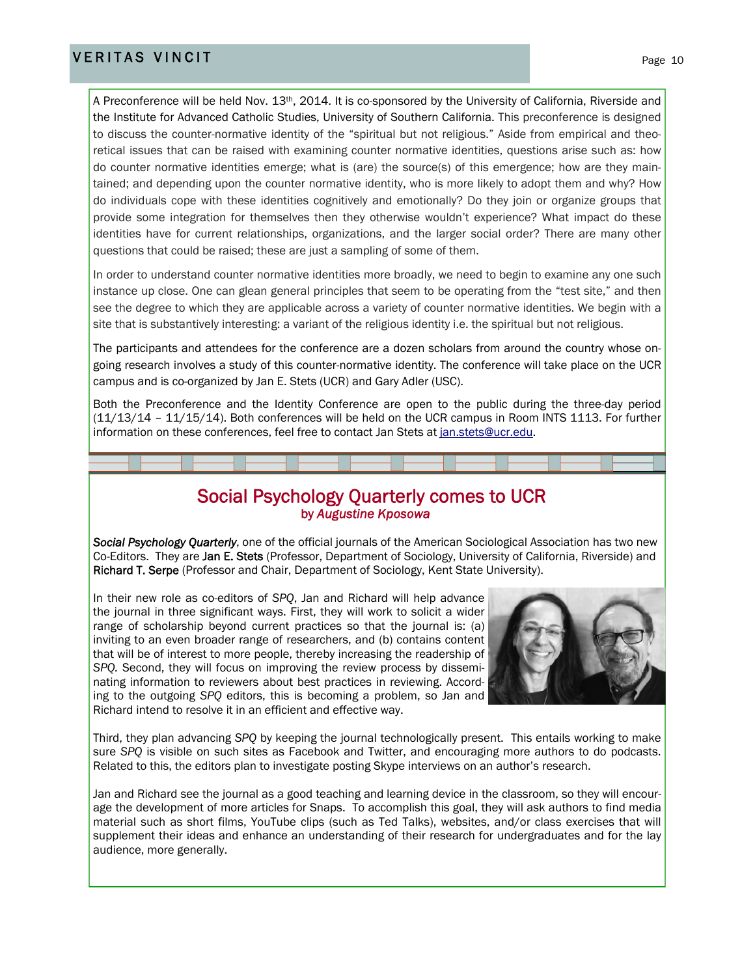## VERITAS VINCIT Page 10

A Preconference will be held Nov. 13<sup>th</sup>, 2014. It is co-sponsored by the University of California, Riverside and the Institute for Advanced Catholic Studies, University of Southern California. This preconference is designed to discuss the counter-normative identity of the "spiritual but not religious." Aside from empirical and theoretical issues that can be raised with examining counter normative identities, questions arise such as: how do counter normative identities emerge; what is (are) the source(s) of this emergence; how are they maintained; and depending upon the counter normative identity, who is more likely to adopt them and why? How do individuals cope with these identities cognitively and emotionally? Do they join or organize groups that provide some integration for themselves then they otherwise wouldn't experience? What impact do these identities have for current relationships, organizations, and the larger social order? There are many other questions that could be raised; these are just a sampling of some of them.

In order to understand counter normative identities more broadly, we need to begin to examine any one such instance up close. One can glean general principles that seem to be operating from the "test site," and then see the degree to which they are applicable across a variety of counter normative identities. We begin with a site that is substantively interesting: a variant of the religious identity i.e. the spiritual but not religious.

The participants and attendees for the conference are a dozen scholars from around the country whose ongoing research involves a study of this counter-normative identity. The conference will take place on the UCR campus and is co-organized by Jan E. Stets (UCR) and Gary Adler (USC).

Both the Preconference and the Identity Conference are open to the public during the three-day period (11/13/14 – 11/15/14). Both conferences will be held on the UCR campus in Room INTS 1113. For further information on these conferences, feel free to contact Jan Stets at jan.stets@ucr.edu.

## **Social Psychology Quarterly comes to UCR**<br>by *Augustine Kposowa*

*Social Psychology Quarterly*, one of the official journals of the American Sociological Association has two new Co-Editors. They are Jan E. Stets (Professor, Department of Sociology, University of California, Riverside) and Richard T. Serpe (Professor and Chair, Department of Sociology, Kent State University).

In their new role as co-editors of *SPQ*, Jan and Richard will help advance the journal in three significant ways. First, they will work to solicit a wider range of scholarship beyond current practices so that the journal is: (a) inviting to an even broader range of researchers, and (b) contains content that will be of interest to more people, thereby increasing the readership of *SPQ.* Second, they will focus on improving the review process by disseminating information to reviewers about best practices in reviewing. According to the outgoing *SPQ* editors, this is becoming a problem, so Jan and Richard intend to resolve it in an efficient and effective way.



Third, they plan advancing *SPQ* by keeping the journal technologically present. This entails working to make sure *SPQ* is visible on such sites as Facebook and Twitter, and encouraging more authors to do podcasts. Related to this, the editors plan to investigate posting Skype interviews on an author's research.

Jan and Richard see the journal as a good teaching and learning device in the classroom, so they will encourage the development of more articles for Snaps. To accomplish this goal, they will ask authors to find media material such as short films, YouTube clips (such as Ted Talks), websites, and/or class exercises that will supplement their ideas and enhance an understanding of their research for undergraduates and for the lay audience, more generally.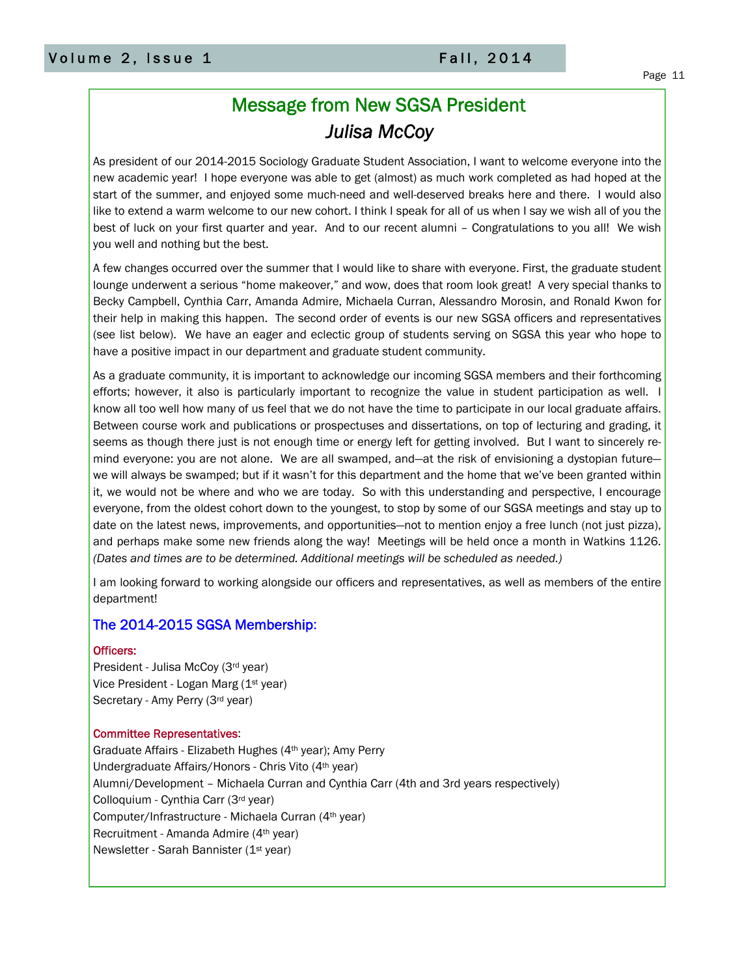## Message from New SGSA President *Julisa McCoy*

As president of our 2014-2015 Sociology Graduate Student Association, I want to welcome everyone into the new academic year! I hope everyone was able to get (almost) as much work completed as had hoped at the start of the summer, and enjoyed some much-need and well-deserved breaks here and there. I would also like to extend a warm welcome to our new cohort. I think I speak for all of us when I say we wish all of you the best of luck on your first quarter and year. And to our recent alumni – Congratulations to you all! We wish you well and nothing but the best.

A few changes occurred over the summer that I would like to share with everyone. First, the graduate student lounge underwent a serious "home makeover," and wow, does that room look great! A very special thanks to Becky Campbell, Cynthia Carr, Amanda Admire, Michaela Curran, Alessandro Morosin, and Ronald Kwon for their help in making this happen. The second order of events is our new SGSA officers and representatives (see list below). We have an eager and eclectic group of students serving on SGSA this year who hope to have a positive impact in our department and graduate student community.

As a graduate community, it is important to acknowledge our incoming SGSA members and their forthcoming efforts; however, it also is particularly important to recognize the value in student participation as well. I know all too well how many of us feel that we do not have the time to participate in our local graduate affairs. Between course work and publications or prospectuses and dissertations, on top of lecturing and grading, it seems as though there just is not enough time or energy left for getting involved. But I want to sincerely remind everyone: you are not alone. We are all swamped, and—at the risk of envisioning a dystopian future we will always be swamped; but if it wasn't for this department and the home that we've been granted within it, we would not be where and who we are today. So with this understanding and perspective, I encourage everyone, from the oldest cohort down to the youngest, to stop by some of our SGSA meetings and stay up to date on the latest news, improvements, and opportunities—not to mention enjoy a free lunch (not just pizza), and perhaps make some new friends along the way! Meetings will be held once a month in Watkins 1126. *(Dates and times are to be determined. Additional meetings will be scheduled as needed.)* 

I am looking forward to working alongside our officers and representatives, as well as members of the entire department!

### The 2014-2015 SGSA Membership:

### Officers:

President - Julisa McCoy (3rd year) Vice President - Logan Marg (1st year) Secretary - Amy Perry (3rd year)

### Committee Representatives:

Graduate Affairs - Elizabeth Hughes (4th year); Amy Perry Undergraduate Affairs/Honors - Chris Vito (4th year) Alumni/Development – Michaela Curran and Cynthia Carr (4th and 3rd years respectively) Colloquium - Cynthia Carr (3rd year) Computer/Infrastructure - Michaela Curran (4th year) Recruitment - Amanda Admire (4th year) Newsletter - Sarah Bannister (1<sup>st</sup> year)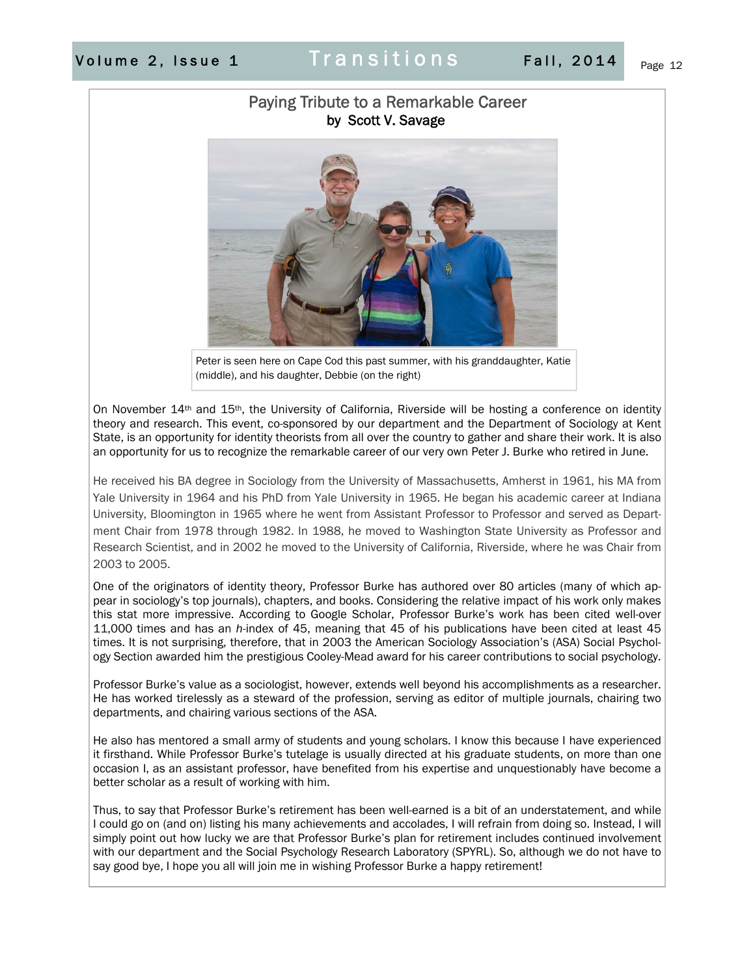## Paying Tribute to a Remarkable Career by Scott V. Savage



Peter is seen here on Cape Cod this past summer, with his granddaughter, Katie (middle), and his daughter, Debbie (on the right)

On November 14<sup>th</sup> and 15<sup>th</sup>, the University of California, Riverside will be hosting a conference on identity theory and research. This event, co-sponsored by our department and the Department of Sociology at Kent State, is an opportunity for identity theorists from all over the country to gather and share their work. It is also an opportunity for us to recognize the remarkable career of our very own Peter J. Burke who retired in June.

He received his BA degree in Sociology from the University of Massachusetts, Amherst in 1961, his MA from Yale University in 1964 and his PhD from Yale University in 1965. He began his academic career at Indiana University, Bloomington in 1965 where he went from Assistant Professor to Professor and served as Department Chair from 1978 through 1982. In 1988, he moved to Washington State University as Professor and Research Scientist, and in 2002 he moved to the University of California, Riverside, where he was Chair from 2003 to 2005.

One of the originators of identity theory, Professor Burke has authored over 80 articles (many of which appear in sociology's top journals), chapters, and books. Considering the relative impact of his work only makes this stat more impressive. According to Google Scholar, Professor Burke's work has been cited well-over 11,000 times and has an *h-*index of 45, meaning that 45 of his publications have been cited at least 45 times. It is not surprising, therefore, that in 2003 the American Sociology Association's (ASA) Social Psychology Section awarded him the prestigious Cooley-Mead award for his career contributions to social psychology.

Professor Burke's value as a sociologist, however, extends well beyond his accomplishments as a researcher. He has worked tirelessly as a steward of the profession, serving as editor of multiple journals, chairing two departments, and chairing various sections of the ASA.

He also has mentored a small army of students and young scholars. I know this because I have experienced it firsthand. While Professor Burke's tutelage is usually directed at his graduate students, on more than one occasion I, as an assistant professor, have benefited from his expertise and unquestionably have become a better scholar as a result of working with him.

Thus, to say that Professor Burke's retirement has been well-earned is a bit of an understatement, and while I could go on (and on) listing his many achievements and accolades, I will refrain from doing so. Instead, I will simply point out how lucky we are that Professor Burke's plan for retirement includes continued involvement with our department and the Social Psychology Research Laboratory (SPYRL). So, although we do not have to say good bye, I hope you all will join me in wishing Professor Burke a happy retirement!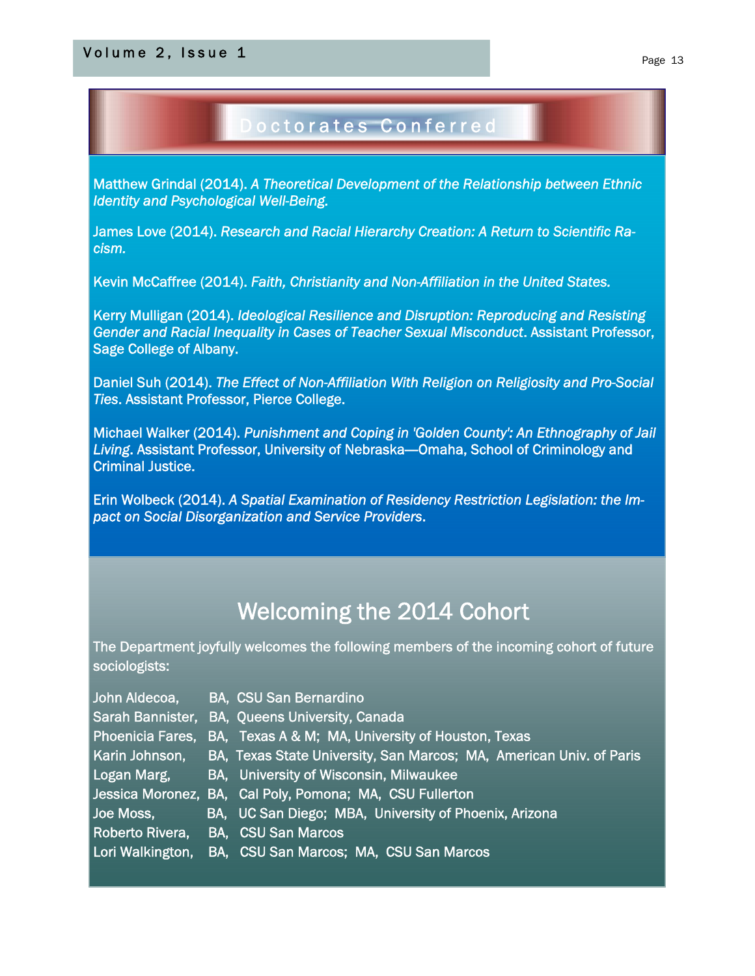## $\blacksquare$ Volume 2, Issue 1 Page 13

## Doctorates Conferred

Matthew Grindal (2014). *A Theoretical Development of the Relationship between Ethnic Identity and Psychological Well-Being.*

James Love (2014). *Research and Racial Hierarchy Creation: A Return to Scientific Racism.*

Kevin McCaffree (2014). *Faith, Christianity and Non-Affiliation in the United States.*

Kerry Mulligan (2014). *Ideological Resilience and Disruption: Reproducing and Resisting Gender and Racial Inequality in Cases of Teacher Sexual Misconduct*. Assistant Professor, Sage College of Albany.

Daniel Suh (2014). *The Effect of Non-Affiliation With Religion on Religiosity and Pro-Social Ties*. Assistant Professor, Pierce College.

Michael Walker (2014). *Punishment and Coping in 'Golden County': An Ethnography of Jail*  Living. Assistant Professor, University of Nebraska—Omaha, School of Criminology and Criminal Justice.

Erin Wolbeck (2014). *A Spatial Examination of Residency Restriction Legislation: the Impact on Social Disorganization and Service Providers*.

## Welcoming the 2014 Cohort

The Department joyfully welcomes the following members of the incoming cohort of future sociologists:

- 
- John Aldecoa, BA, CSU San Bernardino
- Sarah Bannister, BA, Queens University, Canada
- Phoenicia Fares, BA, Texas A & M; MA, University of Houston, Texas
- Karin Johnson, BA, Texas State University, San Marcos; MA, American Univ. of Paris
- Logan Marg, BA, University of Wisconsin, Milwaukee
- Jessica Moronez, BA, Cal Poly, Pomona; MA, CSU Fullerton
- 
- Joe Moss, **BA, UC San Diego; MBA, University of Phoenix, Arizona**
- Roberto Rivera, BA, CSU San Marcos
- Lori Walkington, BA, CSU San Marcos; MA, CSU San Marcos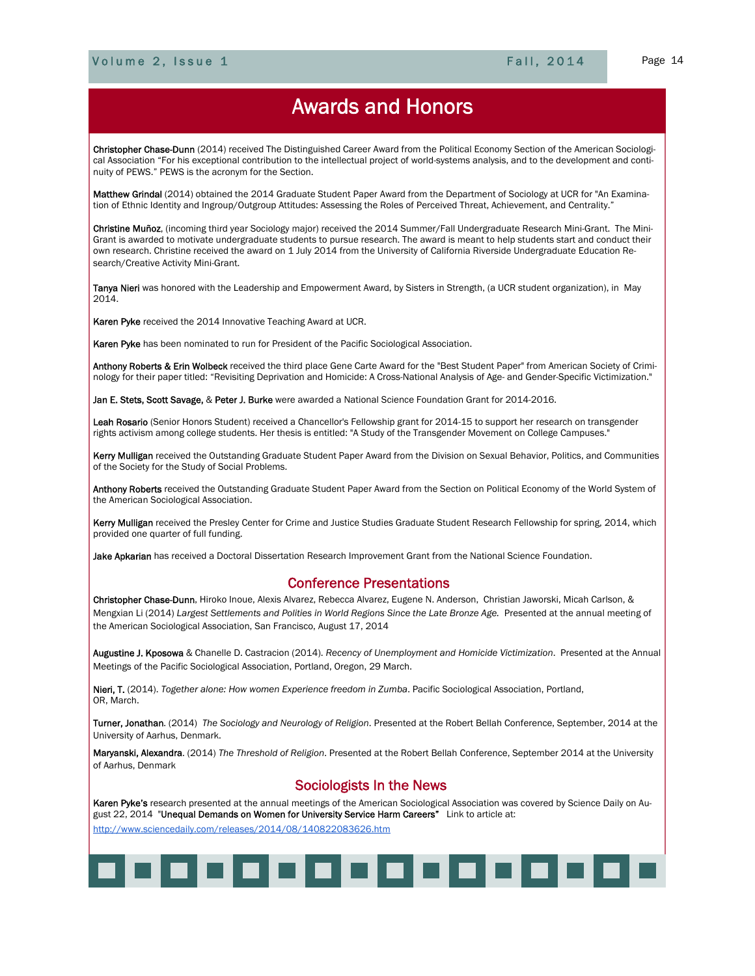Ī

## Awards and Honors

Christopher Chase-Dunn (2014) received The Distinguished Career Award from the Political Economy Section of the American Sociological Association "For his exceptional contribution to the intellectual project of world-systems analysis, and to the development and continuity of PEWS." PEWS is the acronym for the Section.

Matthew Grindal (2014) obtained the 2014 Graduate Student Paper Award from the Department of Sociology at UCR for "An Examination of Ethnic Identity and Ingroup/Outgroup Attitudes: Assessing the Roles of Perceived Threat, Achievement, and Centrality."

Christine Muñoz, (incoming third year Sociology major) received the 2014 Summer/Fall Undergraduate Research Mini-Grant. The Mini-Grant is awarded to motivate undergraduate students to pursue research. The award is meant to help students start and conduct their own research. Christine received the award on 1 July 2014 from the University of California Riverside Undergraduate Education Research/Creative Activity Mini-Grant.

Tanya Nieri was honored with the Leadership and Empowerment Award, by Sisters in Strength, (a UCR student organization), in May 2014.

Karen Pyke received the 2014 Innovative Teaching Award at UCR.

Karen Pyke has been nominated to run for President of the Pacific Sociological Association.

Anthony Roberts & Erin Wolbeck received the third place Gene Carte Award for the "Best Student Paper" from American Society of Criminology for their paper titled: "Revisiting Deprivation and Homicide: A Cross-National Analysis of Age- and Gender-Specific Victimization."

Jan E. Stets, Scott Savage, & Peter J. Burke were awarded a National Science Foundation Grant for 2014-2016.

Leah Rosario (Senior Honors Student) received a Chancellor's Fellowship grant for 2014-15 to support her research on transgender rights activism among college students. Her thesis is entitled: "A Study of the Transgender Movement on College Campuses."

Kerry Mulligan received the Outstanding Graduate Student Paper Award from the Division on Sexual Behavior, Politics, and Communities of the Society for the Study of Social Problems.

Anthony Roberts received the Outstanding Graduate Student Paper Award from the Section on Political Economy of the World System of the American Sociological Association.

Kerry Mulligan received the Presley Center for Crime and Justice Studies Graduate Student Research Fellowship for spring, 2014, which provided one quarter of full funding.

Jake Apkarian has received a Doctoral Dissertation Research Improvement Grant from the National Science Foundation.

### Conference Presentations

Christopher Chase-Dunn, Hiroko Inoue, Alexis Alvarez, Rebecca Alvarez, Eugene N. Anderson, Christian Jaworski, Micah Carlson, & Mengxian Li (2014) *Largest Settlements and Polities in World Regions Since the Late Bronze Age.* Presented at the annual meeting of the American Sociological Association, San Francisco, August 17, 2014

Augustine J. Kposowa & Chanelle D. Castracion (2014). *Recency of Unemployment and Homicide Victimization*. Presented at the Annual Meetings of the Pacific Sociological Association, Portland, Oregon, 29 March.

Nieri, T. (2014). *Together alone: How women Experience freedom in Zumba*. Pacific Sociological Association, Portland, OR, March.

Turner, Jonathan. (2014) *The Sociology and Neurology of Religion*. Presented at the Robert Bellah Conference, September, 2014 at the University of Aarhus, Denmark.

Maryanski, Alexandra. (2014) *The Threshold of Religion*. Presented at the Robert Bellah Conference, September 2014 at the University of Aarhus, Denmark

### Sociologists In the News

Karen Pyke's research presented at the annual meetings of the American Sociological Association was covered by Science Daily on August 22, 2014 "Unequal Demands on Women for University Service Harm Careers" Link to article at:

http://www.sciencedaily.com/releases/2014/08/140822083626.htm

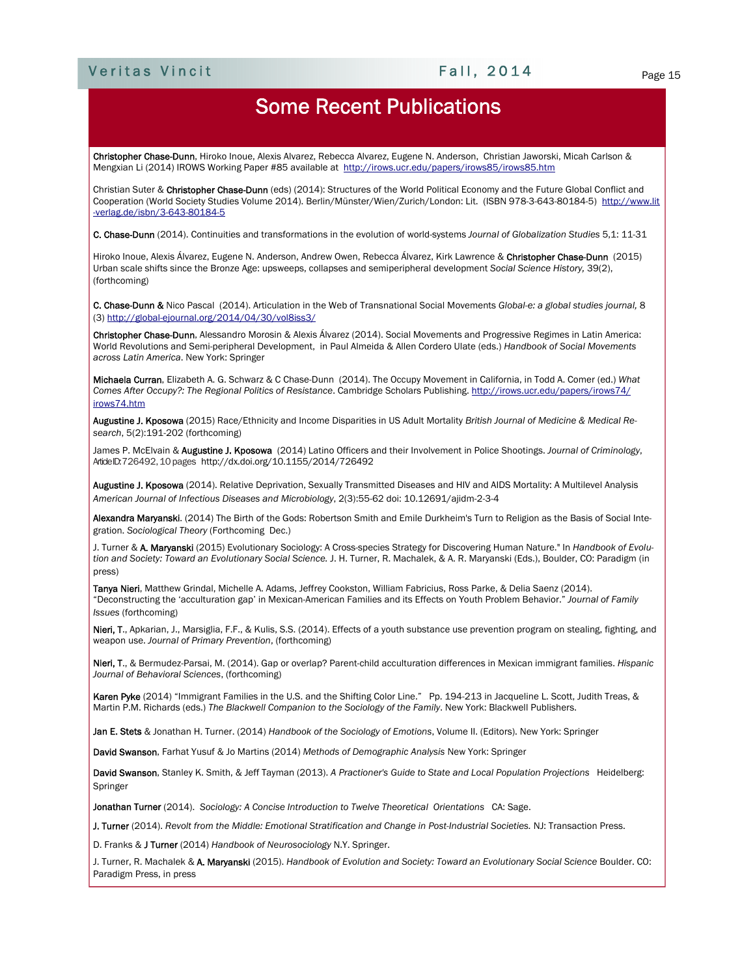## Veritas Vincit Page 15

## Some Recent Publications

Christopher Chase-Dunn, Hiroko Inoue, Alexis Alvarez, Rebecca Alvarez, Eugene N. Anderson, Christian Jaworski, Micah Carlson & Mengxian Li (2014) IROWS Working Paper #85 available at http://irows.ucr.edu/papers/irows85/irows85.htm

Christian Suter & Christopher Chase-Dunn (eds) (2014): Structures of the World Political Economy and the Future Global Conflict and Cooperation (World Society Studies Volume 2014). Berlin/Münster/Wien/Zurich/London: Lit. (ISBN 978-3-643-80184-5) http://www.lit -verlag.de/isbn/3-643-80184-5

C. Chase-Dunn (2014). Continuities and transformations in the evolution of world-systems *Journal of Globalization Studies* 5,1: 11-31

Hiroko Inoue, Alexis Álvarez, Eugene N. Anderson, Andrew Owen, Rebecca Álvarez, Kirk Lawrence & Christopher Chase-Dunn (2015) Urban scale shifts since the Bronze Age: upsweeps, collapses and semiperipheral development *Social Science History,* 39(2), (forthcoming)

C. Chase-Dunn & Nico Pascal (2014). Articulation in the Web of Transnational Social Movements *Global-e: a global studies journal,* 8 (3) http://global-ejournal.org/2014/04/30/vol8iss3/

Christopher Chase-Dunn, Alessandro Morosin & Alexis Álvarez (2014). Social Movements and Progressive Regimes in Latin America: World Revolutions and Semi-peripheral Development, in Paul Almeida & Allen Cordero Ulate (eds.) *Handbook of Social Movements across Latin America*. New York: Springer

Michaela Curran, Elizabeth A. G. Schwarz & C Chase-Dunn (2014). The Occupy Movement in California, in Todd A. Comer (ed.) *What Comes After Occupy?: The Regional Politics of Resistance*. Cambridge Scholars Publishing. http://irows.ucr.edu/papers/irows74/ irows74.htm

Augustine J. Kposowa (2015) Race/Ethnicity and Income Disparities in US Adult Mortality *British Journal of Medicine & Medical Research*, 5(2):191-202 (forthcoming)

James P. McElvain & Augustine J. Kposowa (2014) Latino Officers and their Involvement in Police Shootings. *Journal of Criminology*, Article ID: 726492, 10 pages http://dx.doi.org/10.1155/2014/726492

Augustine J. Kposowa (2014). Relative Deprivation, Sexually Transmitted Diseases and HIV and AIDS Mortality: A Multilevel Analysis *American Journal of Infectious Diseases and Microbiology*, 2(3):55-62 doi: 10.12691/ajidm-2-3-4

Alexandra Maryanski. (2014) The Birth of the Gods: Robertson Smith and Emile Durkheim's Turn to Religion as the Basis of Social Integration. *Sociological Theory* (Forthcoming Dec.)

J. Turner & A. Maryanski (2015) Evolutionary Sociology: A Cross-species Strategy for Discovering Human Nature." In *Handbook of Evolution and Society: Toward an Evolutionary Social Science.* J. H. Turner, R. Machalek, & A. R. Maryanski (Eds.), Boulder, CO: Paradigm (in press)

Tanya Nieri, Matthew Grindal, Michelle A. Adams, Jeffrey Cookston, William Fabricius, Ross Parke, & Delia Saenz (2014). "Deconstructing the 'acculturation gap' in Mexican-American Families and its Effects on Youth Problem Behavior." *Journal of Family Issues* (forthcoming)

Nieri, T., Apkarian, J., Marsiglia, F.F., & Kulis, S.S. (2014). Effects of a youth substance use prevention program on stealing, fighting, and weapon use. *Journal of Primary Prevention*, (forthcoming)

Nieri, T., & Bermudez-Parsai, M. (2014). Gap or overlap? Parent-child acculturation differences in Mexican immigrant families. *Hispanic Journal of Behavioral Sciences*, (forthcoming)

Karen Pyke (2014) "Immigrant Families in the U.S. and the Shifting Color Line." Pp. 194-213 in Jacqueline L. Scott, Judith Treas, & Martin P.M. Richards (eds.) *The Blackwell Companion to the Sociology of the Family*. New York: Blackwell Publishers.

Jan E. Stets & Jonathan H. Turner. (2014) *Handbook of the Sociology of Emotions*, Volume II. (Editors). New York: Springer

David Swanson, Farhat Yusuf & Jo Martins (2014) *Methods of Demographic Analysis* New York: Springer

David Swanson, Stanley K. Smith, & Jeff Tayman (2013). A Practioner's Guide to State and Local Population Projections Heidelberg: Springer

Jonathan Turner (2014). *Sociology: A Concise Introduction to Twelve Theoretical Orientations* CA: Sage.

J. Turner (2014). Revolt from the Middle: Emotional Stratification and Change in Post-Industrial Societies. NJ: Transaction Press.

D. Franks & J Turner (2014) *Handbook of Neurosociology* N.Y. Springer.

J. Turner, R. Machalek & A. Maryanski (2015). *Handbook of Evolution and Society: Toward an Evolutionary Social Science* Boulder. CO: Paradigm Press, in press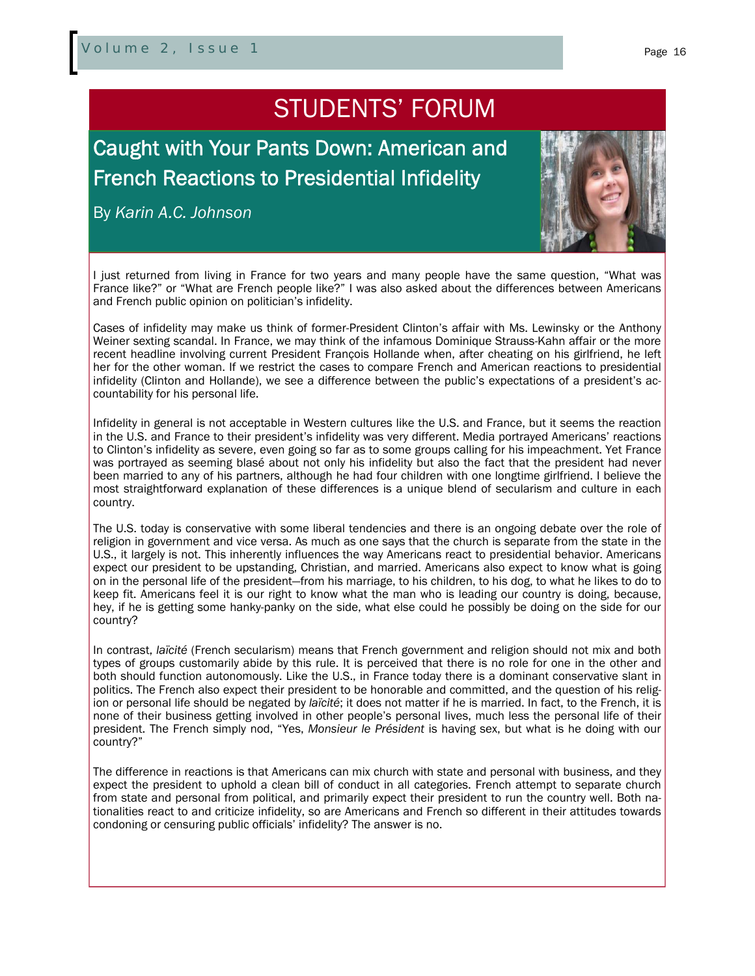## STUDENTS' FORUM

Caught with Your Pants Down: American and French Reactions to Presidential Infidelity

By *Karin A.C. Johnson*



I just returned from living in France for two years and many people have the same question, "What was France like?" or "What are French people like?" I was also asked about the differences between Americans and French public opinion on politician's infidelity.

Cases of infidelity may make us think of former-President Clinton's affair with Ms. Lewinsky or the Anthony Weiner sexting scandal. In France, we may think of the infamous Dominique Strauss-Kahn affair or the more recent headline involving current President François Hollande when, after cheating on his girlfriend, he left her for the other woman. If we restrict the cases to compare French and American reactions to presidential infidelity (Clinton and Hollande), we see a difference between the public's expectations of a president's accountability for his personal life.

Infidelity in general is not acceptable in Western cultures like the U.S. and France, but it seems the reaction in the U.S. and France to their president's infidelity was very different. Media portrayed Americans' reactions to Clinton's infidelity as severe, even going so far as to some groups calling for his impeachment. Yet France was portrayed as seeming blasé about not only his infidelity but also the fact that the president had never been married to any of his partners, although he had four children with one longtime girlfriend. I believe the most straightforward explanation of these differences is a unique blend of secularism and culture in each country.

The U.S. today is conservative with some liberal tendencies and there is an ongoing debate over the role of religion in government and vice versa. As much as one says that the church is separate from the state in the U.S., it largely is not. This inherently influences the way Americans react to presidential behavior. Americans expect our president to be upstanding, Christian, and married. Americans also expect to know what is going on in the personal life of the president—from his marriage, to his children, to his dog, to what he likes to do to keep fit. Americans feel it is our right to know what the man who is leading our country is doing, because, hey, if he is getting some hanky-panky on the side, what else could he possibly be doing on the side for our country?

In contrast, *laïcité* (French secularism) means that French government and religion should not mix and both types of groups customarily abide by this rule. It is perceived that there is no role for one in the other and both should function autonomously. Like the U.S., in France today there is a dominant conservative slant in politics. The French also expect their president to be honorable and committed, and the question of his religion or personal life should be negated by *laïcité*; it does not matter if he is married. In fact, to the French, it is none of their business getting involved in other people's personal lives, much less the personal life of their president. The French simply nod, "Yes, *Monsieur le Président* is having sex, but what is he doing with our country?"

The difference in reactions is that Americans can mix church with state and personal with business, and they expect the president to uphold a clean bill of conduct in all categories. French attempt to separate church from state and personal from political, and primarily expect their president to run the country well. Both nationalities react to and criticize infidelity, so are Americans and French so different in their attitudes towards condoning or censuring public officials' infidelity? The answer is no.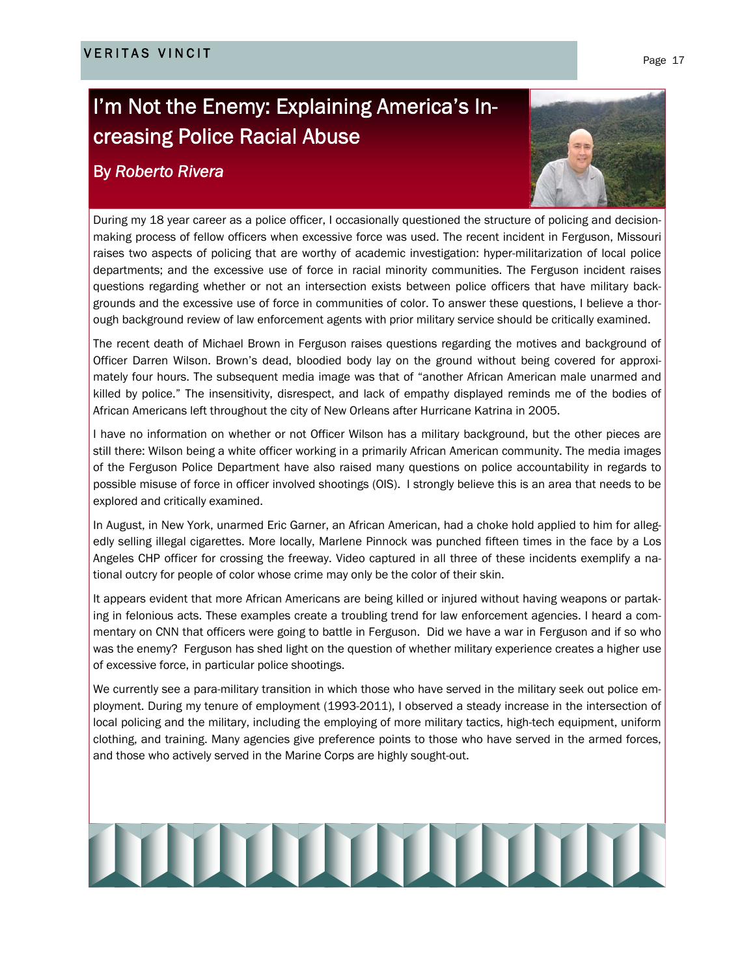## I'm Not the Enemy: Explaining America's Increasing Police Racial Abuse

## By *Roberto Rivera*



During my 18 year career as a police officer, I occasionally questioned the structure of policing and decisionmaking process of fellow officers when excessive force was used. The recent incident in Ferguson, Missouri raises two aspects of policing that are worthy of academic investigation: hyper-militarization of local police departments; and the excessive use of force in racial minority communities. The Ferguson incident raises questions regarding whether or not an intersection exists between police officers that have military backgrounds and the excessive use of force in communities of color. To answer these questions, I believe a thorough background review of law enforcement agents with prior military service should be critically examined.

The recent death of Michael Brown in Ferguson raises questions regarding the motives and background of Officer Darren Wilson. Brown's dead, bloodied body lay on the ground without being covered for approximately four hours. The subsequent media image was that of "another African American male unarmed and killed by police." The insensitivity, disrespect, and lack of empathy displayed reminds me of the bodies of African Americans left throughout the city of New Orleans after Hurricane Katrina in 2005.

I have no information on whether or not Officer Wilson has a military background, but the other pieces are still there: Wilson being a white officer working in a primarily African American community. The media images of the Ferguson Police Department have also raised many questions on police accountability in regards to possible misuse of force in officer involved shootings (OIS). I strongly believe this is an area that needs to be explored and critically examined.

In August, in New York, unarmed Eric Garner, an African American, had a choke hold applied to him for allegedly selling illegal cigarettes. More locally, Marlene Pinnock was punched fifteen times in the face by a Los Angeles CHP officer for crossing the freeway. Video captured in all three of these incidents exemplify a national outcry for people of color whose crime may only be the color of their skin.

It appears evident that more African Americans are being killed or injured without having weapons or partaking in felonious acts. These examples create a troubling trend for law enforcement agencies. I heard a commentary on CNN that officers were going to battle in Ferguson. Did we have a war in Ferguson and if so who was the enemy? Ferguson has shed light on the question of whether military experience creates a higher use of excessive force, in particular police shootings.

We currently see a para-military transition in which those who have served in the military seek out police employment. During my tenure of employment (1993-2011), I observed a steady increase in the intersection of local policing and the military, including the employing of more military tactics, high-tech equipment, uniform clothing, and training. Many agencies give preference points to those who have served in the armed forces, and those who actively served in the Marine Corps are highly sought-out.

# **THE TERM OF THE TERM**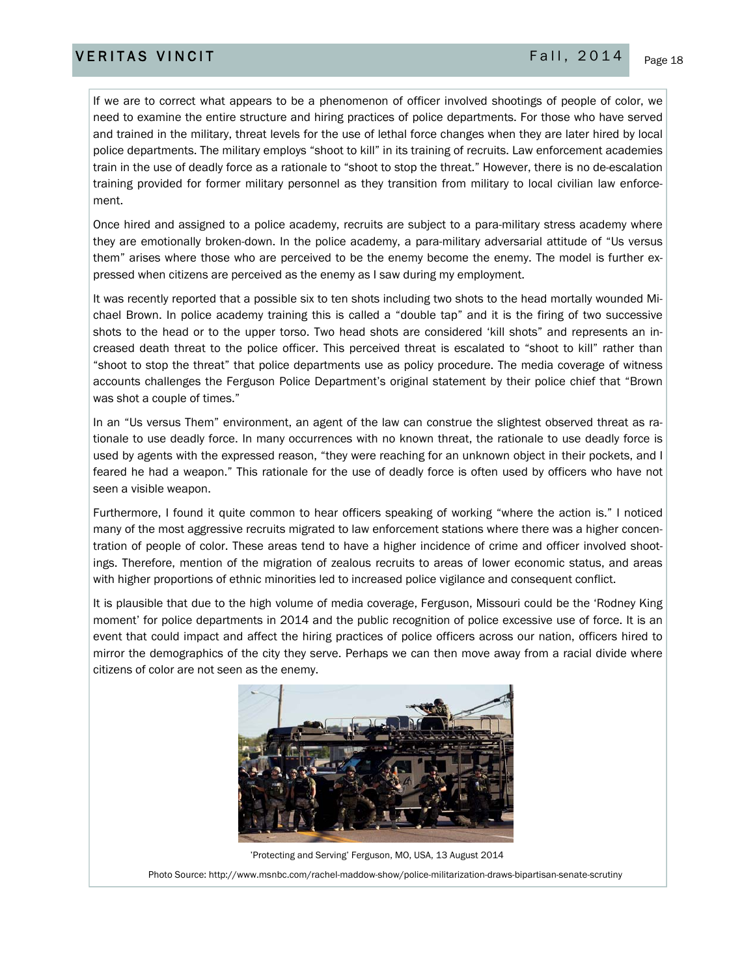If we are to correct what appears to be a phenomenon of officer involved shootings of people of color, we need to examine the entire structure and hiring practices of police departments. For those who have served and trained in the military, threat levels for the use of lethal force changes when they are later hired by local police departments. The military employs "shoot to kill" in its training of recruits. Law enforcement academies train in the use of deadly force as a rationale to "shoot to stop the threat." However, there is no de-escalation training provided for former military personnel as they transition from military to local civilian law enforcement.

Once hired and assigned to a police academy, recruits are subject to a para-military stress academy where they are emotionally broken-down. In the police academy, a para-military adversarial attitude of "Us versus them" arises where those who are perceived to be the enemy become the enemy. The model is further expressed when citizens are perceived as the enemy as I saw during my employment.

It was recently reported that a possible six to ten shots including two shots to the head mortally wounded Michael Brown. In police academy training this is called a "double tap" and it is the firing of two successive shots to the head or to the upper torso. Two head shots are considered 'kill shots" and represents an increased death threat to the police officer. This perceived threat is escalated to "shoot to kill" rather than "shoot to stop the threat" that police departments use as policy procedure. The media coverage of witness accounts challenges the Ferguson Police Department's original statement by their police chief that "Brown was shot a couple of times."

In an "Us versus Them" environment, an agent of the law can construe the slightest observed threat as rationale to use deadly force. In many occurrences with no known threat, the rationale to use deadly force is used by agents with the expressed reason, "they were reaching for an unknown object in their pockets, and I feared he had a weapon." This rationale for the use of deadly force is often used by officers who have not seen a visible weapon.

Furthermore, I found it quite common to hear officers speaking of working "where the action is." I noticed many of the most aggressive recruits migrated to law enforcement stations where there was a higher concentration of people of color. These areas tend to have a higher incidence of crime and officer involved shootings. Therefore, mention of the migration of zealous recruits to areas of lower economic status, and areas with higher proportions of ethnic minorities led to increased police vigilance and consequent conflict.

It is plausible that due to the high volume of media coverage, Ferguson, Missouri could be the 'Rodney King moment' for police departments in 2014 and the public recognition of police excessive use of force. It is an event that could impact and affect the hiring practices of police officers across our nation, officers hired to mirror the demographics of the city they serve. Perhaps we can then move away from a racial divide where citizens of color are not seen as the enemy.



 'Protecting and Serving' Ferguson, MO, USA, 13 August 2014 Photo Source: http://www.msnbc.com/rachel-maddow-show/police-militarization-draws-bipartisan-senate-scrutiny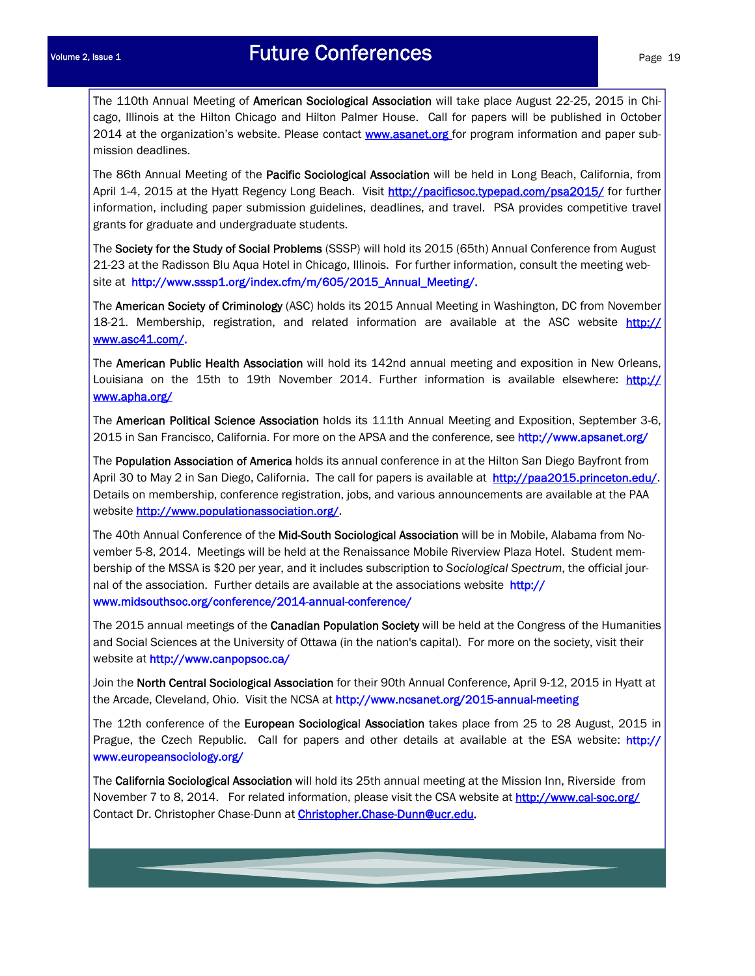The 110th Annual Meeting of American Sociological Association will take place August 22-25, 2015 in Chicago, Illinois at the Hilton Chicago and Hilton Palmer House. Call for papers will be published in October 2014 at the organization's website. Please contact **www.asanet.org** for program information and paper submission deadlines.

The 86th Annual Meeting of the Pacific Sociological Association will be held in Long Beach, California, from April 1-4, 2015 at the Hyatt Regency Long Beach. Visit http://pacificsoc.typepad.com/psa2015/ for further information, including paper submission guidelines, deadlines, and travel. PSA provides competitive travel grants for graduate and undergraduate students.

The Society for the Study of Social Problems (SSSP) will hold its 2015 (65th) Annual Conference from August 21-23 at the Radisson Blu Aqua Hotel in Chicago, Illinois. For further information, consult the meeting website at http://www.sssp1.org/index.cfm/m/605/2015\_Annual\_Meeting/.

The American Society of Criminology (ASC) holds its 2015 Annual Meeting in Washington, DC from November 18-21. Membership, registration, and related information are available at the ASC website http:// www.asc41.com/.

The American Public Health Association will hold its 142nd annual meeting and exposition in New Orleans, Louisiana on the 15th to 19th November 2014. Further information is available elsewhere: http:// www.apha.org/

The American Political Science Association holds its 111th Annual Meeting and Exposition, September 3-6, 2015 in San Francisco, California. For more on the APSA and the conference, see http://www.apsanet.org/

The Population Association of America holds its annual conference in at the Hilton San Diego Bayfront from April 30 to May 2 in San Diego, California. The call for papers is available at http://paa2015.princeton.edu/. Details on membership, conference registration, jobs, and various announcements are available at the PAA website http://www.populationassociation.org/

The 40th Annual Conference of the Mid-South Sociological Association will be in Mobile, Alabama from November 5-8, 2014. Meetings will be held at the Renaissance Mobile Riverview Plaza Hotel. Student membership of the MSSA is \$20 per year, and it includes subscription to *Sociological Spectrum*, the official journal of the association. Further details are available at the associations website http:// www.midsouthsoc.org/conference/2014-annual-conference/

The 2015 annual meetings of the Canadian Population Society will be held at the Congress of the Humanities and Social Sciences at the University of Ottawa (in the nation's capital). For more on the society, visit their website at http://www.canpopsoc.ca/

Join the North Central Sociological Association for their 90th Annual Conference, April 9-12, 2015 in Hyatt at the Arcade, Cleveland, Ohio. Visit the NCSA at http://www.ncsanet.org/2015-annual-meeting

The 12th conference of the European Sociological Association takes place from 25 to 28 August, 2015 in Prague, the Czech Republic. Call for papers and other details at available at the ESA website: http:// www.europeansociology.org/

The California Sociological Association will hold its 25th annual meeting at the Mission Inn, Riverside from November 7 to 8, 2014. For related information, please visit the CSA website at http://www.cal-soc.org/ Contact Dr. Christopher Chase-Dunn at **Christopher.Chase-Dunn@ucr.edu**.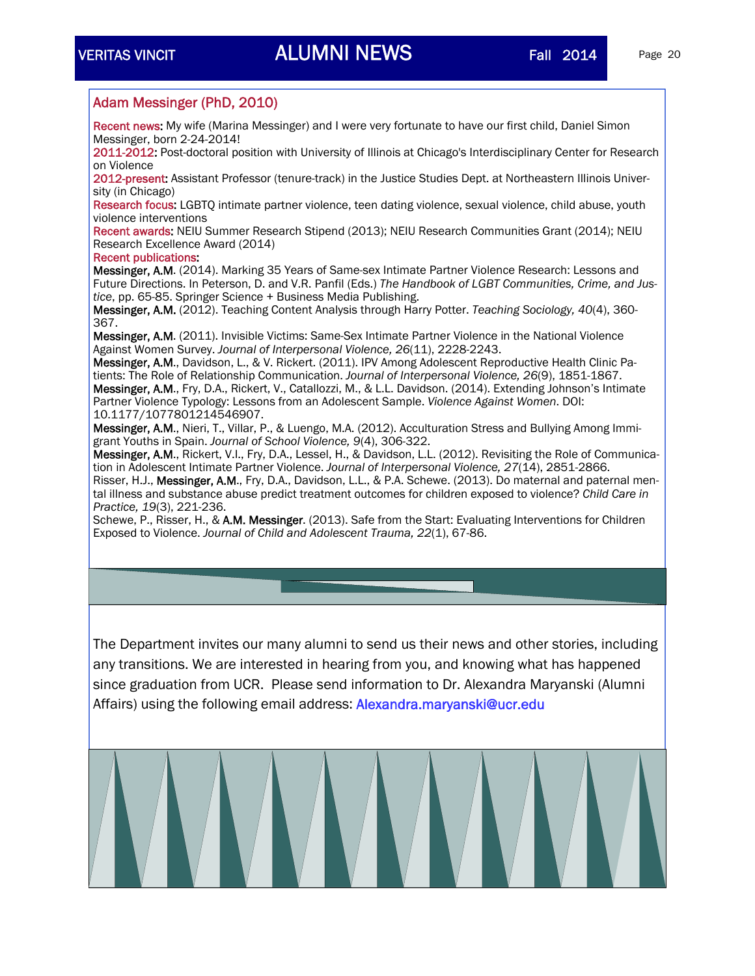### Adam Messinger (PhD, 2010)

Recent news: My wife (Marina Messinger) and I were very fortunate to have our first child, Daniel Simon Messinger, born 2-24-2014!

2011-2012: Post-doctoral position with University of Illinois at Chicago's Interdisciplinary Center for Research on Violence

2012-present: Assistant Professor (tenure-track) in the Justice Studies Dept. at Northeastern Illinois University (in Chicago)

Research focus: LGBTQ intimate partner violence, teen dating violence, sexual violence, child abuse, youth violence interventions

Recent awards: NEIU Summer Research Stipend (2013); NEIU Research Communities Grant (2014); NEIU Research Excellence Award (2014)

### Recent publications:

Messinger, A.M. (2014). Marking 35 Years of Same-sex Intimate Partner Violence Research: Lessons and Future Directions. In Peterson, D. and V.R. Panfil (Eds.) *The Handbook of LGBT Communities, Crime, and Justice*, pp. 65-85. Springer Science + Business Media Publishing.

Messinger, A.M. (2012). Teaching Content Analysis through Harry Potter. *Teaching Sociology, 40*(4), 360- 367.

Messinger, A.M. (2011). Invisible Victims: Same-Sex Intimate Partner Violence in the National Violence Against Women Survey. *Journal of Interpersonal Violence, 26*(11), 2228-2243.

Messinger, A.M., Davidson, L., & V. Rickert. (2011). IPV Among Adolescent Reproductive Health Clinic Patients: The Role of Relationship Communication. *Journal of Interpersonal Violence, 26*(9), 1851-1867. Messinger, A.M., Fry, D.A., Rickert, V., Catallozzi, M., & L.L. Davidson. (2014). Extending Johnson's Intimate Partner Violence Typology: Lessons from an Adolescent Sample. *Violence Against Women*. DOI: 10.1177/1077801214546907.

Messinger, A.M., Nieri, T., Villar, P., & Luengo, M.A. (2012). Acculturation Stress and Bullying Among Immigrant Youths in Spain. *Journal of School Violence, 9*(4), 306-322.

Messinger, A.M., Rickert, V.I., Fry, D.A., Lessel, H., & Davidson, L.L. (2012). Revisiting the Role of Communication in Adolescent Intimate Partner Violence. *Journal of Interpersonal Violence, 27*(14), 2851-2866.

Risser, H.J., Messinger, A.M., Fry, D.A., Davidson, L.L., & P.A. Schewe. (2013). Do maternal and paternal mental illness and substance abuse predict treatment outcomes for children exposed to violence? *Child Care in Practice, 19*(3), 221-236.

Schewe, P., Risser, H., & A.M. Messinger. (2013). Safe from the Start: Evaluating Interventions for Children Exposed to Violence. *Journal of Child and Adolescent Trauma, 22*(1), 67-86.

The Department invites our many alumni to send us their news and other stories, including any transitions. We are interested in hearing from you, and knowing what has happened since graduation from UCR. Please send information to Dr. Alexandra Maryanski (Alumni Affairs) using the following email address: Alexandra.maryanski@ucr.edu

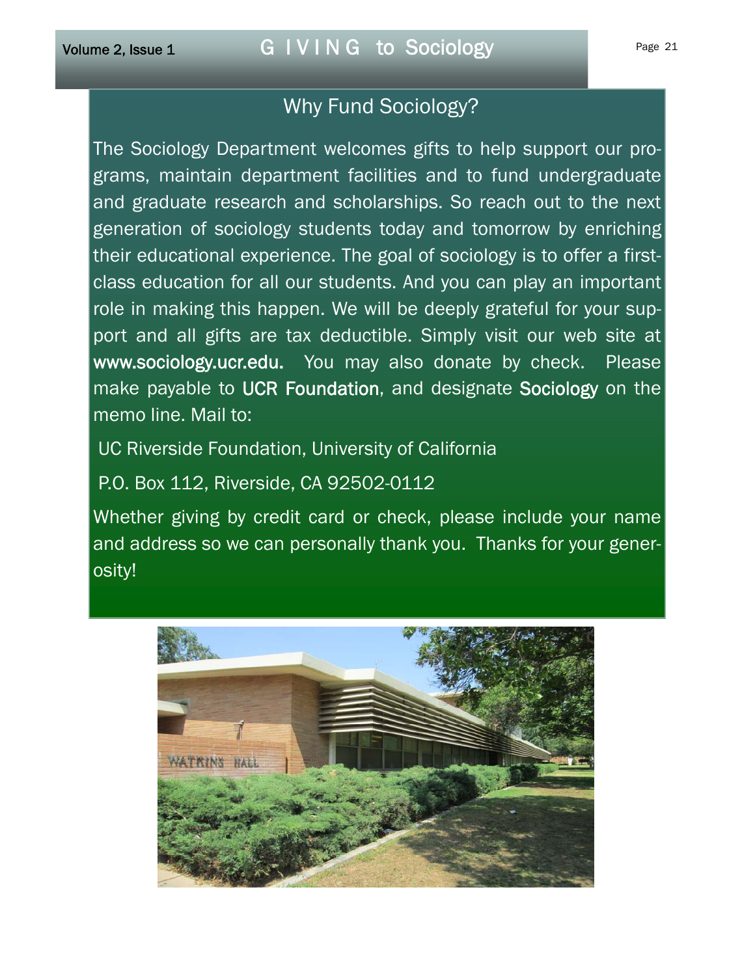## Why Fund Sociology?

The Sociology Department welcomes gifts to help support our programs, maintain department facilities and to fund undergraduate and graduate research and scholarships. So reach out to the next generation of sociology students today and tomorrow by enriching their educational experience. The goal of sociology is to offer a firstclass education for all our students. And you can play an important role in making this happen. We will be deeply grateful for your support and all gifts are tax deductible. Simply visit our web site at www.sociology.ucr.edu. You may also donate by check. Please make payable to UCR Foundation, and designate Sociology on the memo line. Mail to:

UC Riverside Foundation, University of California

P.O. Box 112, Riverside, CA 92502-0112

Whether giving by credit card or check, please include your name and address so we can personally thank you. Thanks for your generosity!